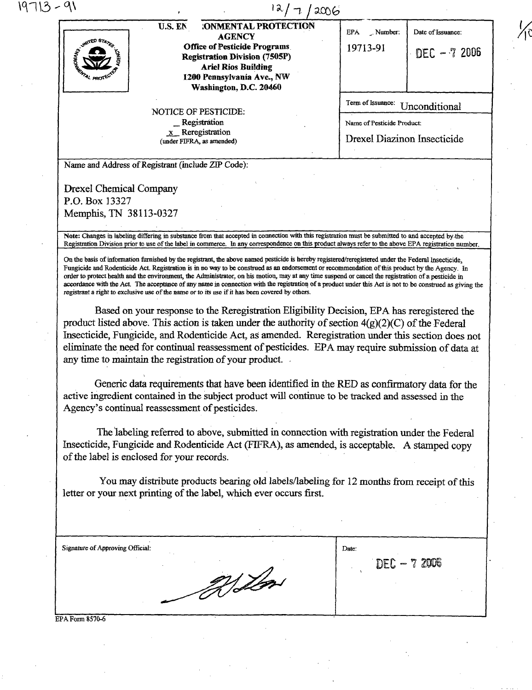|                                                                                                                                                                   | U.S. EN | <b>:ONMENTAL PROTECTION</b><br><b>AGENCY</b>                                                              | EPA<br>$\therefore$ Number:                                                                                                                                                                          | Date of Issuance:                                                                                                                                                                                         |
|-------------------------------------------------------------------------------------------------------------------------------------------------------------------|---------|-----------------------------------------------------------------------------------------------------------|------------------------------------------------------------------------------------------------------------------------------------------------------------------------------------------------------|-----------------------------------------------------------------------------------------------------------------------------------------------------------------------------------------------------------|
|                                                                                                                                                                   |         | <b>Office of Pesticide Programs</b><br><b>Registration Division (7505P)</b><br><b>Ariel Rios Building</b> | 19713-91                                                                                                                                                                                             | DEC $-72006$                                                                                                                                                                                              |
|                                                                                                                                                                   |         | 1200 Pennsylvania Ave., NW<br>Washington, D.C. 20460                                                      |                                                                                                                                                                                                      |                                                                                                                                                                                                           |
|                                                                                                                                                                   |         |                                                                                                           | Term of Issuance:                                                                                                                                                                                    | Unconditional                                                                                                                                                                                             |
|                                                                                                                                                                   |         | NOTICE OF PESTICIDE:<br>_Registration                                                                     | Name of Pesticide Product:                                                                                                                                                                           |                                                                                                                                                                                                           |
|                                                                                                                                                                   |         | $x$ Reregistration<br>(under FIFRA, as amended)                                                           | Drexel Diazinon Insecticide                                                                                                                                                                          |                                                                                                                                                                                                           |
| Name and Address of Registrant (include ZIP Code):                                                                                                                |         |                                                                                                           |                                                                                                                                                                                                      |                                                                                                                                                                                                           |
| <b>Drexel Chemical Company</b>                                                                                                                                    |         |                                                                                                           |                                                                                                                                                                                                      |                                                                                                                                                                                                           |
| P.O. Box 13327<br>Memphis, TN 38113-0327                                                                                                                          |         |                                                                                                           |                                                                                                                                                                                                      |                                                                                                                                                                                                           |
|                                                                                                                                                                   |         |                                                                                                           | Note: Changes in labeling differing in substance from that accepted in connection with this registration must be submitted to and accepted by the                                                    | Registration Division prior to use of the label in commerce. In any correspondence on this product always refer to the above EPA registration number.                                                     |
|                                                                                                                                                                   |         |                                                                                                           |                                                                                                                                                                                                      |                                                                                                                                                                                                           |
|                                                                                                                                                                   |         |                                                                                                           | Based on your response to the Reregistration Eligibility Decision, EPA has reregistered the<br>product listed above. This action is taken under the authority of section $4(g)(2)(C)$ of the Federal | Insecticide, Fungicide, and Rodenticide Act, as amended. Reregistration under this section does not<br>eliminate the need for continual reassessment of pesticides. EPA may require submission of data at |
|                                                                                                                                                                   |         | any time to maintain the registration of your product.                                                    | active ingredient contained in the subject product will continue to be tracked and assessed in the                                                                                                   | Generic data requirements that have been identified in the RED as confirmatory data for the                                                                                                               |
|                                                                                                                                                                   |         |                                                                                                           | The labeling referred to above, submitted in connection with registration under the Federal<br>Insecticide, Fungicide and Rodenticide Act (FIFRA), as amended, is acceptable. A stamped copy         |                                                                                                                                                                                                           |
|                                                                                                                                                                   |         | letter or your next printing of the label, which ever occurs first.                                       | You may distribute products bearing old labels/labeling for 12 months from receipt of this                                                                                                           |                                                                                                                                                                                                           |
|                                                                                                                                                                   |         |                                                                                                           |                                                                                                                                                                                                      |                                                                                                                                                                                                           |
|                                                                                                                                                                   |         |                                                                                                           | Date:                                                                                                                                                                                                |                                                                                                                                                                                                           |
|                                                                                                                                                                   |         | VIA                                                                                                       |                                                                                                                                                                                                      | DEC - 7 2006                                                                                                                                                                                              |
|                                                                                                                                                                   |         |                                                                                                           |                                                                                                                                                                                                      |                                                                                                                                                                                                           |
| Agency's continual reassessment of pesticides.<br>of the label is enclosed for your records.<br><b>Signature of Approving Official:</b><br><b>EPA Form 8570-6</b> |         |                                                                                                           |                                                                                                                                                                                                      |                                                                                                                                                                                                           |

 $\frac{1}{2}$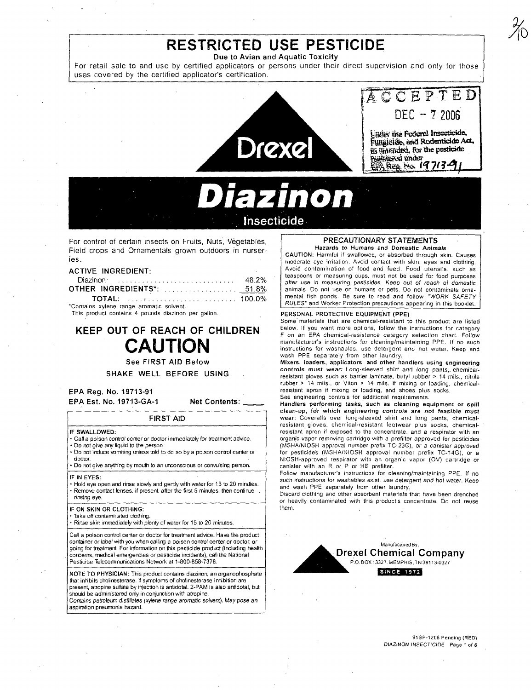# **RESTRICTED USE PESTICIDE**

Due to Avian and Aquatic Toxicity

For retail sale to and use by certified applicators or persons under their direct supervision and only for those uses covered by the certified applicator's certification.



**Insecticide** 

For control of certain insects on Fruits, Nuts', Vegetables, Field crops and Ornamentals grown outdoors in nurseries.

## ACTIVE INGREDIENT:

|                                  | 48.2% |
|----------------------------------|-------|
| <b>OTHER INGREDIENTS*:</b> 51.8% |       |
|                                  |       |

'Contains xylene range aromatic solvent. This product contains 4 pounds diazinon per gallon.

KEEP OUT OF REACH OF CHILDREN **CAUTION** 

See FIRST AID Below

SHAKE WELL BEFORE USING

EPA Reg. No. 19713-91 EPA Est. No. 19713-GA-1

Net Contents:

#### IF SWALLOWED:

• Call a poison control center or doctor immediately for treatment advice. • Do not give any liquid to the person

• Do not induce vomiting unless told to do so by a poison control center or doctor.

FIRST AID

• Do not give anything by mouth to an unconscious or convulsing person.

IF IN EYES:

• Hold eye open and rinse slowly and gently with water for 15 to 20 minutes. • Remove contact lenses, if present, after the nrst 5 minutes, then continue rinsing eye.

#### IF ON SKIN OR CLOTHING:

• Take off contaminated clothing.

• Rinse skin immediately witll plenty of water for 15 to 20 minutes.

Call a poison control center or doctor for treatment advice. Have the product container or label with you when calling a poison control center or doctor, or going for treatment. For information on this pesticide product (including heatth concems. medical emergencies or pesticide incidents), call the National Pesticide Telecommunications Network at 1-800-858-7378.

NOTE TO PHYSICIAN: This product contains diazinon, an organophosphate that inhibits cholinesterase. II symptoms of cholinesterase inhibition are present, atropine sulfate by injection is antidotal. 2-PAM is also antidotal, but should be administered only in conjunction with atropine.

Contains petroleum distillates (xylene range aromatic solvent), May pose an aspiration pneumonia hazard.

## PRECAUTIONARY STATEMENTS Hazards to Humans and Domestic Animals

CAUTION: Harmful if swallowed, or absorbed through skin. Causes moderate eye irritation. Avoid contact with skin, eyes and clothin'g. Avoid contamination of food and feed. Food utensils, such as teaspoons or measuring cups, must not be used for food purposes after use in measuring pesticides. Keep out of reach of domestic animals. Do not use on humans or pets. Do not contaminate ornamental fish ponds. Be sure to read and follow "WORK SAFETY RULES" and Worker Protection precautions appearing in this booklet.

#### PERSONAL PROTECTIVE EQUIPMENT (PPE)

Some' materials that are chemical-resistant to this product are listed below. If you want more options, follow the instructions for category F on an EPA chemical-resistance category selection *chart.* Follow manufacturer's instructions for cleaning/maintaining PPE. If no such instructions for washables, use detergent and hot water. Keep and wash PPE separately from ather laundry.

Mixers, loaders, applicators, and other handlers using engineering controls must wear: Long-sleeved shirt and long pants,. chemicalresistant gloves such as barrier laminate, butyl rubber > 14 mils., nitrile rubber > 14 mils., or Viton > 14 mils. if mixing or loading, chemicalresistant apron if mixing or loading, and shoes plus socks. See engineering controls for additional requirements.

Handlers performing tasks, such as cleaning equipment or spill clean-up, for which engineering controls are not feasible must wear: Coveralls over long-sleeved shirt and long pants, chemicalresistant gloves, chemical-resistant footwear plus socks, chemicalresistant apron if exposed to the concentrate, and a respiratar with an organic·vapor removing cartridge with a prefilter approved for pesticides (MSHAINIOSH approval number prefix TC-23C), or a canister approved for pesticide's (MSHA/NIOSH approval number prefix TC-14G), ar a NIOSH-approved respirator with an organic vapor (OV) cartridge or canister with an R or P or HE prefilter.

Follow manufacturer's instructions for cleaning/maintaining PPE. If no such instructions for washables exist, use detergent and hot water. Keep and wash PPE separately from other laundry,

Discard clathing and other absorbent materials that have been drenched or heavily contaminated with this praduct's concentrate. Do not reuse them,



91SP-1206 Pending (R'ED) DIAZINON INSECTICIDE Page 1 of 6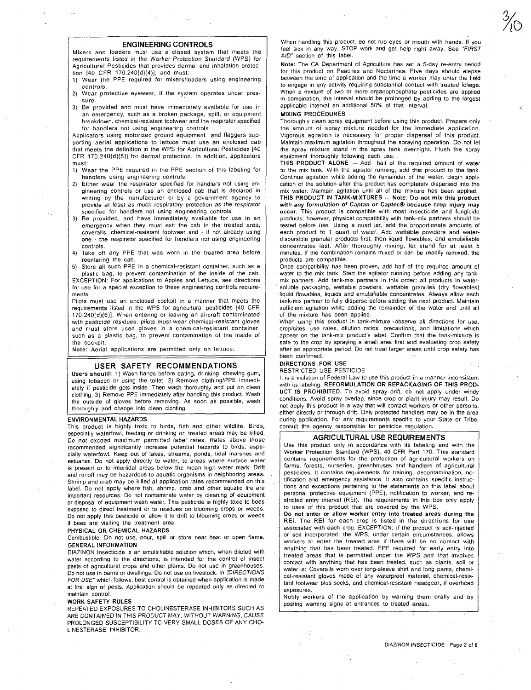#### **ENGINEERING CONTROLS**

Mixers and loaders must use a closed system that meets the requirements listed in the Worker Protection Standard (WPS) for Agricultural Pesticides that provides dermal and inhalation protection [40 CFR 170.240(d)(4)]. and must:

1) Wear the PPE required for mixers/loaders using engineering controls.

- 2) Wear protective eyewear, if the system operates under pres**sure.**
- 3) Be provided and must have immediately available for use in an emergency, such as a broken package, spill, or equipment breakdown, chemical-resistant footwear and the respirator specified for handlers not using engineering controls.

Applicators using motorized ground equipment and flaggers supporting aerial applications to lettuce must use an enclosed cab that meets the definition in the WPS for Agricultural Pesticides [40 CFR 170.240(d)(5)] for dermal protection. In addition, applicators must:

- 1) Wear the PPE required in the PPE section of this labeling for handlers using engineering controls.
- 2) Either wear the respirator specified tor handlers not using engineering controls or use an enclosed cab that is declared in writing by the manufacturer or by a government agency to provide at least as much respiratory protection as the respirator specified for handlers not using engineering controls.
- 3) Be provided, and have immediately available for use in an emergency when they must exit the cab in the treated area; coveralls, chemical-resistant footwear and - if not already using one - the respirator specified for handlers not using engineering controls.
- Take off any PPE that was worn in the treated area before reentering the cab.

5) Store all such PPE in a chemical-resistant container, such as a

plastic bag, to prevent contamination of the inside of the cab. EXCEPTION: For applications to Apples and Lettuce, see directions for use for a special exception to these engineering controls requirements.

Pilots must use an enclosed cockpit in a manner that meets the requirements listed in the WPS for agricultural pesticides [40 CFR 170.240(d)(6)]. When entering or leaving an aircraft contaminated with pesticide residues. pilots must wear chemical-resistant gloves and must store used gloves in a chemical-resistant container, such as a plastic bag, to prevent contamination of the inside of the cockpit.

Note: Aerial applications are permitted only on lettuce.

## **USER SAFETY RECOMMENDATIONS**

Users should: 1) Wash hands before eating, drinking, chewing gum, using tobacco or using the toilet. 2) Remove clothing/PPE immedi ately if pesticide gets inside. Then wash thoroughly and put on clean clothing. 3) Remove PPE immediately after handling this product. Wash the outside of gloves before removing. As soon as possible, wash thoroughly and change into clean clohting.

#### ENVIRONMENTAL HAZARDS

This product is highly toxic to birds, fish and other wildlife. Birds, especially waterfowl, feeding or drinking on treated areas may be killed. Do not exceed maximum permitted label rates. Rates above those recommended significantly increase potential hazards to birds, especially waterfowl. Keep out of lakes, streams, ponds, tidal marshes and estuaries. Do not apply directly to water, to areas where surface water is present or to intertidal areas below the mean high water mark. Drift and runoff may be' hazardous to aquatic organisms in neighboring areas. Shrimp and crab may be killed at application rates recommended on this label. Do not apply where fish, shrimp, crab and other aquatic life are important resources. Do not contaminate water by cleaning of equipment or disposal of equipment wash water. This pesticide is highly toxic to bees exposed to direct treatment or to residues on blooming crops or weeds. Do not apply this pesticide or allow it to drift to blooming crops or weeds if bees are visiting the treatment area.

#### PHYSICAL OR CHEMICAL HAZARDS

Combustible. Do not use, pour, spill or store near heat or open flame. GENERAL INFORMATION

DIAZINON Insecticide is an emulsifiable solution which, when diluted with water according to the directions, is intended for the control of insect pests of agricultural crops and other plants. Do not use in greenhouses. Do not use in barns or dwellings. Do not use on livestock. In :'DiRECTIONS FOR USE" which follows, best control is obtained when application is made at firsl sign of pests. Application should be repeated only as directed to maintain control.

## WORK SAFETY RULES

REPEATED EXPOSURES TO CHOLINESTERASE INHIBITORS SUCH AS ARE CONTAINED IN THIS PRODUCT MAY, WITHOUT WARNING, CAUSE PROLONGED SUSCEPTIBILITY TO VERY SMALL DOSES OF ANY CHO-LINESTERASE INHIBITOR.

When handling this product, do not rub eyes or mouth with hands. If you feel sick in any way, STOP work and get help right away. See "F/RST AID" section of this label.

Note: The CA Department of Agriculture has set a 5-day re-entry period for this product on Peaches and Nectarines. Five days should elapse between the time of application and the time a worker may enter the field to engage in any activity requiring substantial contact with treated foliage. When a mixture of two or more organophosphate pesticides are applied in combination, the interval should be prolonged by adding to the largest applicable interval an additional 50% of that interval.

#### MIXING PROCEDURES

Thoroughly clean spray equipment before using this product. Prepare only the amount of spray mixture needed for the immediate application. Vigorous agitation is necessary for proper dispersal of this product. Maintain maximum agitation throughout the spraying operation. Do not let the spray mixture stand in the spray tank overnight. Flush the spray equipment thoroughly following each use.

THIS PRODUCT ALONE - Add half of the required amount of water to the mix tank. With the agitator running, add this product to the tank. Continue agitation while adding the remainder of the water. Begin application of the solution after this product has completely dispersed into the mix water. Maintain agitation until all of the mixture has been applied:

THIS PRODUCT IN TANK-MIXTURES - Note: Do not mix this product with any formulation of Caplan or Caplec® because crop injury may occur. This product is compatible with most insecticide and fungicide products; however, physical compatibility with tank-mix partners should be tested before use. Using a quart jar, 'add the proportionate amounts of each product to 1 quart of water. Add wettable powders and waterdispersible granular products first, then liquid flowables, and emulsifiable concentrates last. After thoroughly mixing, let stand for at least 5 minutes. If the combination remains mixed or can be readily remixed, the products are compatible.

.<br>Once compatibility has been proven, add half of the required amount of water to the mix tank. Start the agitator running before adding any tankmix partners. Add tank-mix partners in this order: all products in water- . soluble packaging, wettable powders, wettable granules (dry fiowables) 'Iiquid flowables, liquids and emulsifiable concentrates. Always allow each tank-mix partner to fully disperse before adding the next product. Maintain sufficient agitation while adding the remainder of the water and until all of the mixture has been applied.

When using this product in tank-mixture, -observe all directions for use, crop/sites. use rates, dilution ratios, precautions, and limitations which appear on the tank-mix product's label. Confirm that the tank-mixture is safe to the crop by spraying a small area first and evaluating crop safety after an appropriate period. Do not treat larger areas until crop safety has been confirmed.

## DIRECTIONS FOR USE

RESTRICTED USE PESTICIDE

It is a violation of Federal Law to use this product in a manner inconsistent with its labeling. REFORMULATION OR REPACKAGING OF THIS PROD-UCT IS PROHIBITED. To avoid spray drift, do not apply under windy conditions. Avoid spray overlap, since crop or plant injury may result. Do not apply this product in a way that will contact workers or other persons,<br>either directly or through drift. Only protected handlers may be in the area during application. For any requirements specific to your State or Tribe, consult the agency responsible for pesticide regulation.

#### **AGRICULTURAL USE REQUIREMENTS**

Use this product only in accordance with its labeling and with the Worker Protection Standard (WPS), 40 CFR Part 170. This standard contains requirements for the protection of agricultural workers on farms. forests, nurseries, greenhouses and handlers of agricultural pesticides. It contains requirements for training, decontamination, notification and emergency assistance. It also contains specific instructions and exceptions pertaining to the statements on this label about personal protective equipment (PPE), notification to worker, and restricted entry interval (REI). The requirements in this box only apply to uses of this product that are covered by the WPS.

Do not enter or allow worker entry into treated areas during the REI. The REI for each crop is listed in the directions for use associated with each crop. EXCEPTION: If the product is soil-injected or soil incorporated, the WPS, under certain circumstances, allows workers to enter the treated area if there will be no contact with anything that has been treated. PPE required for early entry into treated areas that is permitted under the WPS and that involves contact with anything that has been treated, such as plants, soil or water is: Coveralls worn over long-sleeve shirt and long pants, chemical-resistant gloves made of any waterproof material, chemical-resistant footwear plus socks, and chemical-resistant headgear, if overhead exposures.

Notify workers of the application by warning them orally and by posting warning signs at entrances to treated areas.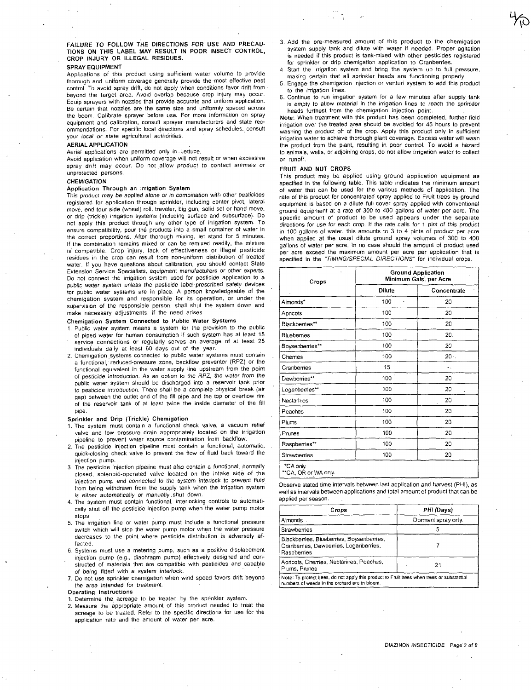FAILURE TO FOLLOW T'HE DIRECTIONS FOR USE AND PRECAU-TIONS ON THIS LABEL MAY RESULT IN POOR INSECT CONTROL, CROP INJURY OR ILLEGAL RESIDUES.

## SPRAY EQUIPMENT

Applications of this product using sufficient water volume to provide thorough and uniform coverage generally provide the· most effective pest control. To avoid spray drift, do not apply when conditions favor drift from beyond the target area. Avoid overlap because crop injury may occur. Equip sprayers with nozzles that provide accurate and uniform application. Be certain that nozzles are the same size and uniformly spaced across the boom. Calibrate sprayer before use. For more information on spray equipment and calibration, consult sprayer manufacturers and state recommendations. For specific local directions and spray schedules, consult your local or state agricultural authorities.

## AERIAL APPLICATION

Aerial applications are. permitted only in Lettuce.

Avoid application when uniform coverage will not result or when excessive spray drift may occur. Do not allow product to contact animals or unprotected persons,

#### **CHEMIGATION**

#### Application Through an Irrigation System

This product may be applied alone or in combination with other pesticides registered for application through sprinkler, including center pivot, lateral move, end tour side (wheel) roll, traveler, big gun, solid set or hand move, or drip (trickle) irrigation systems (including surface and subsurface). Do not apply this product through any other type of irrigation system. To ensure compatibility, pour the products into a small container of water in the correct proportions. After thorough mixing. let stand for 5 minutes, If the combination remains mixed or can be remixed readily, the mixture is' compatible, Crop injury, lack of effectiveness or illegal pesticide residues in the crop can result from non-uniform distribution of treated water. If you have questions about calibration, you should contact State Extension Service Specialists, equipment manufacturers or other experts. Do not connect the irrigation system used for pesticide application to a public water system unless the pesticide label-prescribed safety devices for public water systems are in place, A person knowledgeable of the chemigation system and responsible for its operation, or under the supervision of the responsible person, shall shut the system down and make necessary adjustments, if the need arises.

## Chemigation System Connected to Public Water Systems

- 1, Public water system means a system for the provision to the public of piped water for human consumption if such system has at least 15 service connections or regularly serves an average of at least 25 individuals daily at least 60 days out of the year,
- 2. Chemigation systems connected to public water systems must contain a functional, reduced-pressure zone, backflow preventer (RPZ) or the functional equivalent in the water supply line upstream from the point of pesticide introduction. As an option to the RPZ, the water from the public water system should be discharged into a reservoir tank prior to pesticide introduction, There shall be a complete physical break (air gap) between the outlet end of the fill pipe and the top or overflow rim of the reservoir tank of at least twice the inside diameter of the fill pipe.

#### Sprinkler and Drip (Trickle) Chemigation

- 1. The system must contain a functional check valve, a vacuum relief valve and low pressure drain appropriately located on the irrigation pipeline to prevent water source contamination from backflow.
- 2. The pesticide injection pipeline must contain a functional, automatic, quick-closing check valve to prevent the flow of fluid back toward the injection pump,
- 3. The pesticide injection pipeline must also contain a functional, normally closed, solenoid-operated valve located on the intake side of the injection pump and connected to the system interlock to prevent fluid from being withdrawn from the supply tank when the irrigation system is either automatically or manually shut down.
- 4. The system must contain functional. interlocking controls to automatically shut off the pesticide injection pump when the water pump motor stops,
- 5. The irrigation line or water pump must include a functional pressure switch which will stop the water pump motor when the water pressure decreases to the point where pesticide distribution is adversely affected,
- 6, Systems must use a metering pump, such as a positive displacement injection pump (e.g., diaphragm pump) effectively designed and con-structed of materials that are compatible with pesticides and capable of being fitted with a system interlock.
- 7, Do not use sprinkler chemigation when wind speed favors drift beyond the area intended for treatment.

## Operating Instructions

- 1. Determine the ac'reage to be treated by the sprinkler system.
- 2. Measure the appropriate amount of this product needed to treat the acreage to be treated. Refer to the specific directions for use for the application rate and the amount of water per acre.
- 3. Add the pre-measured amount of this product to the chemigation system supply tank and dilute with water if needed. Proper agitation is needed if this product is tank-mixed with other pesticides registered for sprinkler or drip chemigation application to Cranberries.
- Start the irrigation system and bring the system up to full pressure, making certain that all sprinkler heads are functioning properly.
- 5, Engage the chemigation injection or venturi system to add this product to the irrigation lines.
- Continue to run irrigation system for a few minutes after supply tank is empty to allow material in the irrigation lines to reach the sprinkler heads furthest from the chemigation injection paint.

Note: When treatment with this product has been completed, further field irrigation over the treated area should be avoided for 48 hours to prevent washing the product off of the crop. Apply this product only in sufficient irrigation water to achieve thorough plant coverage. Excess water will wash the product from the plant, resulting in poor control. To avoid a hazard to animals, wells, or adjoining crops, do not allow irrigation water to coliect or runoff.

#### FRUIT AND NUT CROPS

This product may be applied using ground application equipment as specified in the following table. This table indicates the minimum amount of water that can be used for the various methods of application. The rate of this product for concentrated spray applied to Fruit trees by ground equipment is based on a dilute full cover spray applied with conventional ground equipment at a rate of *300* to *400* gal/ons of water per acre, The specific amount of product to be used appears under the separate directions for use for each crop, If the rate calls for 1 pint of this product in 100 gallons of water. this amounts to 3 to 4 pints of product per acre when applied at the usual dilute ground spray volumes of 300 to 400 gallons of water per acre. In no case should the amount of product used per acre exceed the maximum amount per acre per application that is<br>specified in the "TIMING/SPECIAL DIRECTIONS" for individual crops.

| Crops            | <b>Ground Application</b><br>Minimum Gals, per Acre |             |  |  |
|------------------|-----------------------------------------------------|-------------|--|--|
|                  | <b>Dilute</b>                                       | Concentrate |  |  |
| Aimonds*         | 100<br>$\pmb{\epsilon}$                             | 20          |  |  |
| Apricots         | 100                                                 | 20          |  |  |
| Blackberries**   | 100                                                 | 20          |  |  |
| <b>Bluebemes</b> | 100                                                 | 20.         |  |  |
| Boysenberries**  | 100                                                 | 20          |  |  |
| Chemes           | 100                                                 | $20 -$      |  |  |
| Cranberries      | 15                                                  |             |  |  |
| Dewberries**     | 100                                                 | 20          |  |  |
| Loganberries**   | 100                                                 | 20          |  |  |
| Nectarines       | 100                                                 | 20          |  |  |
| Peaches          | 100                                                 | 20          |  |  |
| Plums            | 100                                                 | 20          |  |  |
| Prunes           | 100                                                 | 20          |  |  |
| Raspberries**    | 100                                                 | 20          |  |  |
| Strawberries     | 100                                                 | 20          |  |  |

Observe stated time intervals between last application and harvest (PHI), as well as intervals between applications and total amount of product that can be applied per season.

| Crops                                                                                              | PHI (Days)          |  |
|----------------------------------------------------------------------------------------------------|---------------------|--|
| Almonds -                                                                                          | Dormant spray only. |  |
| Strawberries                                                                                       |                     |  |
| Blackberries, Blueberries, Boysenberries,<br>Cranberries, Dewberries, Loganberries,<br>Raspberries |                     |  |
| Apricots, Chemies, Nectarines, Peaches,<br>Plums, Prunes                                           | 21                  |  |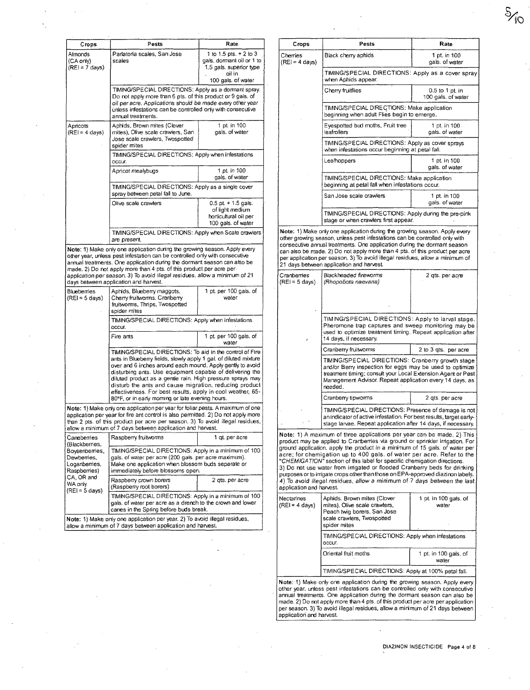| Crops                                                          | Pests                                                                                                                                                                                                                                                                                                                                                                                | Rate                                                             | Crops                                  | Pests                                                                                                                                                                                                                                                                                                                                                                                            | Rate                                  |  |
|----------------------------------------------------------------|--------------------------------------------------------------------------------------------------------------------------------------------------------------------------------------------------------------------------------------------------------------------------------------------------------------------------------------------------------------------------------------|------------------------------------------------------------------|----------------------------------------|--------------------------------------------------------------------------------------------------------------------------------------------------------------------------------------------------------------------------------------------------------------------------------------------------------------------------------------------------------------------------------------------------|---------------------------------------|--|
| Almonds<br>(CA only)                                           | Parlatoria scales, San Jose<br>scales                                                                                                                                                                                                                                                                                                                                                | 1 to 1.5 pts. $+ 2$ to 3<br>gals, dormant oil or 1 to            | Cherries<br>$(REI = 4 \text{ days})$   | Black cherry aphids                                                                                                                                                                                                                                                                                                                                                                              | 1 pt. in 100<br>gals. of water        |  |
| $(RE) = 7$ days)                                               |                                                                                                                                                                                                                                                                                                                                                                                      | 1.5 gals. superior type<br>oil in<br>100 gals. of water          |                                        | TIMING/SPECIAL DIRECTIONS: Apply as a cover spray<br>when Aphids appear.                                                                                                                                                                                                                                                                                                                         |                                       |  |
|                                                                | TIMING/SPECIAL DIRECTIONS: Apply as a dormant spray.<br>Do not apply more than 6 pts. of this product or 9 gals. of<br>oil per acre. Applications should be made every other year                                                                                                                                                                                                    |                                                                  |                                        | Cherry fruitflies                                                                                                                                                                                                                                                                                                                                                                                | 0.5 to 1 pt. in<br>100 gals. of water |  |
|                                                                | unless infestations can be controlled only with consecutive<br>annual treatments.                                                                                                                                                                                                                                                                                                    |                                                                  |                                        | TIMING/SPECIAL DIRECTIONS: Make application<br>beginning when adult Flies begin to emerge.                                                                                                                                                                                                                                                                                                       |                                       |  |
| Apricots<br>$(REI = 4 \text{ days})$                           | Aphids, Brown mites (Clover<br>mites), Olive scale crawlers, San<br>Jose scale crawlers, Twospotted                                                                                                                                                                                                                                                                                  | 1 pt. in 100<br>gals, of water                                   |                                        | Eyespotted bud moths, Fruit tree<br>leafrollers                                                                                                                                                                                                                                                                                                                                                  | 1 pt. in 100<br>gals. of water        |  |
|                                                                | spider mites<br>TIMING/SPECIAL DIRECTIONS: Apply when infestations                                                                                                                                                                                                                                                                                                                   |                                                                  |                                        | TIMING/SPECIAL DIRECTIONS: Apply as cover sprays<br>when infestations occur beginning at petal fall.                                                                                                                                                                                                                                                                                             |                                       |  |
|                                                                | occur.<br>Apricot mealybugs                                                                                                                                                                                                                                                                                                                                                          | 1 pt in 100                                                      |                                        | Leafhoppers                                                                                                                                                                                                                                                                                                                                                                                      | 1 pt. in 100<br>gals. of water        |  |
|                                                                |                                                                                                                                                                                                                                                                                                                                                                                      | gals. of water                                                   |                                        | TIMING/SPECIAL DIRECTIONS: Make application                                                                                                                                                                                                                                                                                                                                                      |                                       |  |
|                                                                | TIMING/SPECIAL DIRECTIONS: Apply as a single cover<br>spray between petal fall to June.                                                                                                                                                                                                                                                                                              |                                                                  |                                        | beginning at petal fall when infestations occur.<br>San Jose scale crawlers                                                                                                                                                                                                                                                                                                                      | 1 pt. in 100                          |  |
|                                                                | Olive scale crawlers                                                                                                                                                                                                                                                                                                                                                                 | $0.5$ pt + 1.5 gals.<br>of light medium<br>horticultural oil per |                                        | TIMING/SPECIAL DIRECTIONS: Apply during the pre-pink                                                                                                                                                                                                                                                                                                                                             | gals. of water                        |  |
|                                                                |                                                                                                                                                                                                                                                                                                                                                                                      | 100 gals. of water                                               |                                        | stage or when crawlers first appear.<br>Note: 1) Make only one application during the growing season. Apply every                                                                                                                                                                                                                                                                                |                                       |  |
|                                                                | TIMING/SPECIAL DIRECTIONS: Apply when Scale crawlers<br>are present.<br>Note: 1) Make only one application during the growing season. Apply every<br>other year, unless pest infestation can be controlled only with consecutive<br>annual treatments. One application during the dormant season can also be<br>made. 2) Do not apply more than 4 pts. of this product per acre per- |                                                                  |                                        | other growing season, unless pest infestations can be controlled only with<br>consecutive annual treatments. One application during the dormant season<br>can also be made. 2) Do not apply more than 4 pts. of this product per acre<br>per application per season. 3) To avoid illegal residues, allow a minimum of<br>21 days between application and harvest.                                |                                       |  |
|                                                                | application per season. 3) To avoid illegal residues, allow a minimum of 21<br>days between application and harvest.                                                                                                                                                                                                                                                                 |                                                                  | Cranberries<br>$(REI = 5 days)$        | Blackheaded fireworms<br>(Rhopobota naevana)                                                                                                                                                                                                                                                                                                                                                     | 2 qts. per acre                       |  |
| Blueberries<br>$(REI = 5 days)$                                | Aphids, Blueberry maggots,<br>Cherry fruitworms. Cranberry<br>fruitworms, Thrips, Twospotted<br>spider mites                                                                                                                                                                                                                                                                         | 1 pt. per 100 gals. of<br>water                                  |                                        |                                                                                                                                                                                                                                                                                                                                                                                                  |                                       |  |
|                                                                | TIMING/SPECIAL DIRECTIONS: Apply when infestations<br>OCCUT.                                                                                                                                                                                                                                                                                                                         |                                                                  |                                        | TIMING/SPECIAL DIRECTIONS: Apply to larval stage.<br>Pheromone trap captures and sweep monitoring may be<br>used to optimize treatment timing. Repeat application after                                                                                                                                                                                                                          |                                       |  |
|                                                                | Fire ants                                                                                                                                                                                                                                                                                                                                                                            | 1 pt. per 100 gals. of<br>water                                  |                                        | 14 days, if necessary.                                                                                                                                                                                                                                                                                                                                                                           |                                       |  |
|                                                                | TIMING/SPECIAL DIRECTIONS: To aid in the control of Fire<br>ants in Blueberry fields, slowly apply 1 gal. of diluted mixture                                                                                                                                                                                                                                                         |                                                                  |                                        | Cranberry fruitworms<br>TIMING/SPECIAL DIRECTIONS: Cranberry growth stage                                                                                                                                                                                                                                                                                                                        | 2 to 3 gts. per acre                  |  |
|                                                                | over and 6 inches around each mound. Apply gently to avoid<br>disturbing ants. Use equipment capable of delivering the<br>diluted product as a gentle rain. High pressure sprays may<br>disturb the ants and cause migration, reducing product<br>effectiveness. For best results, apply in cool weather, 65-                                                                        |                                                                  |                                        | and/or Berry inspection for eggs may be used to optimize<br>treatment timing; consult your Local Extension Agent or Pest<br>Management Advisor. Repeat application every 14 days, as<br>needed.                                                                                                                                                                                                  |                                       |  |
|                                                                | 80°F, or in early morning or late evening hours.                                                                                                                                                                                                                                                                                                                                     |                                                                  |                                        | Cranbeny tipwoms                                                                                                                                                                                                                                                                                                                                                                                 | 2 qts. per acre                       |  |
|                                                                | Note: 1) Make only one application per year for foliar pests. A maximum of one<br>application per year for fire ant control is also permitted. 2) Do not apply more<br>than 2 pts, of this product per acre per season. 3) To avoid illegal residues,<br>allow a minimum of 7 days between application and harvest.                                                                  |                                                                  |                                        | TIMING/SPECIAL DIRECTIONS: Presence of damage is not<br>an indicator of active infestation. For best results, target early-<br>stage larvae. Repeat application after 14 days, if necessary.                                                                                                                                                                                                     |                                       |  |
| Caneberries<br>(Blackberries,                                  | Raspberry fruitworms                                                                                                                                                                                                                                                                                                                                                                 | 1 qt. per acre                                                   |                                        | Note: 1) A maximum of three applications per year can be made. 2) This<br>product may be applied to Cranberries via ground or sprinkler irrigation. For                                                                                                                                                                                                                                          |                                       |  |
| Boysenberries,<br>Dewberries,<br>Loganberries,<br>Raspberries) | TIMING/SPECIAL DIRECTIONS: Apply in a minimum of 100<br>gals, of water per acre (200 gals, per acre maximum).<br>Make one application when blossom buds separate or<br>immediately before blossoms open.                                                                                                                                                                             |                                                                  |                                        | ground application, apply the product in a minimum of 15 gals, of water per<br>acre; for chemigation up to 400 gals, of water per acre. Refer to the<br>"CHEMIGATION" section of this label for specific chemigation directions.<br>3) Do not use water from irrigated or flooded Cranberry beds for drinking<br>purposes or to irrigate crops other than those on EPA-approved diazinon labels. |                                       |  |
| CA, OR and<br>WA only<br>$(REI = 5 days)$                      | Raspberry crown borers<br>(Raspberry root borers)                                                                                                                                                                                                                                                                                                                                    | 2 gts. per acre                                                  | application and harvest.               | 4) To avoid illegal residues, allow a minimum of 7 days between the last                                                                                                                                                                                                                                                                                                                         |                                       |  |
|                                                                | TIMING/SPECIAL DIRECTIONS: Apply in a minimum of 100<br>gals. of water per acre as a drench to the crown and lower<br>canes in the Spring before buds break.<br>Note: 1) Make only one application per year. 2) To avoid illegal residues,                                                                                                                                           |                                                                  | Nectarines<br>$(REI = 4 \text{ days})$ | Aphids. Brown mites (Clover<br>mites), Olive scale crawlers,<br>Peach twig borers. San Jose<br>scale crawlers, Twospotted                                                                                                                                                                                                                                                                        | 1 pt. in 100 gals, of<br>water        |  |
|                                                                | allow a minimum of 7 days between application and harvest.                                                                                                                                                                                                                                                                                                                           |                                                                  |                                        | spider mites<br>TIMING/SPECIAL DIRECTIONS: Apply when infestations                                                                                                                                                                                                                                                                                                                               |                                       |  |
|                                                                |                                                                                                                                                                                                                                                                                                                                                                                      |                                                                  |                                        | occur.<br>Oriental fruit moths                                                                                                                                                                                                                                                                                                                                                                   | 1 pt. in 100 gals. of<br>water        |  |
|                                                                |                                                                                                                                                                                                                                                                                                                                                                                      |                                                                  |                                        | TIMING/SPECIAL DIRECTIONS: Apply at 100% petal fall.                                                                                                                                                                                                                                                                                                                                             |                                       |  |

Note: 1) Make only one application during the growing season. Apply every other year, unless pest infestations can be controlled only with consecutive annual treatments. One application during the dormant season can also be<br>made. 2) Do not apply more than 4 pts. of this product per acre per application<br>per season. 3) To avoid illegal residues, allow a minimum of 21 days  $\partial_{\gamma_{\mathcal{O}}}$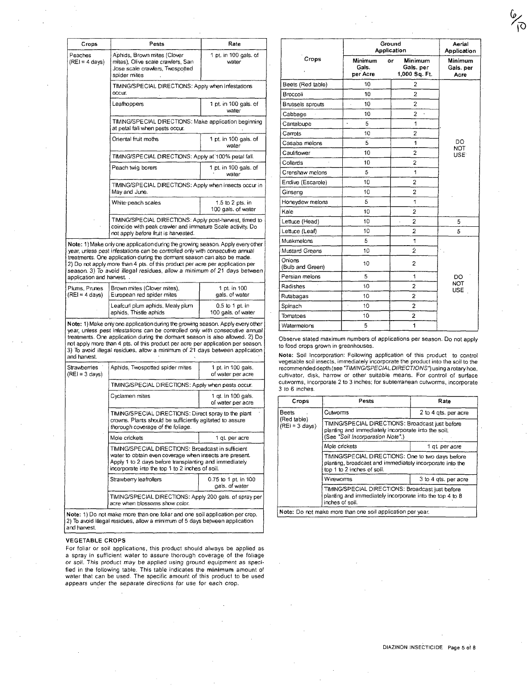| Crops                               | Pests                                                                                                                                                         | Rate                                   |  |  |
|-------------------------------------|---------------------------------------------------------------------------------------------------------------------------------------------------------------|----------------------------------------|--|--|
| Peaches<br>$(REI = 4 \text{ days})$ | Aphids, Brown mites (Clover<br>mites), Olive scale crawlers, San<br>Jose scale crawlers, Twospotted<br>spider mites                                           | 1 pt. in 100 gals. of<br>water         |  |  |
|                                     | TIMING/SPECIAL DIRECTIONS: Apply when infestations<br>OCCLIF.                                                                                                 |                                        |  |  |
|                                     | Leafhoppers<br>1 pt. in 100 gals. of<br>water                                                                                                                 |                                        |  |  |
|                                     | TIMING/SPECIAL DIRECTIONS: Make application beginning<br>at petal fall when pests occur.                                                                      |                                        |  |  |
|                                     | Oriental fruit moths<br>1 pt. in 100 gals. of<br>water                                                                                                        |                                        |  |  |
|                                     | TIMING/SPECIAL DIRECTIONS: Apply at 100% petal fall.                                                                                                          |                                        |  |  |
|                                     | Peach twig borers                                                                                                                                             | 1 pt. in 100 gals, of<br>water         |  |  |
|                                     | TIMING/SPECIAL DIRECTIONS: Apply when insects occur in<br>May and June.                                                                                       |                                        |  |  |
|                                     | White peach scales                                                                                                                                            | 1.5 to 2 pts. in<br>100 gals. of water |  |  |
|                                     | TIMING/SPECIAL DIRECTIONS: Apply post-harvest, timed to<br>coincide with peak crawler and immature Scale activity. Do<br>not apply before fruit is harvested. |                                        |  |  |

Note: 1) Make only one application during the growing season. Apply every other year. unless pest infestations can be controlled only with consecutive annual treatments. One application during the dormant season can also be made. 2) Do not apply more than 4 pts. of this product per acre per application per season. 3) To avoid illegal residues, allow a minimum of 21 days between application and harvest.

| Plums, Prunes            | l Brown mites (Clover mites),                              | 1 pt. in 100                            |  |
|--------------------------|------------------------------------------------------------|-----------------------------------------|--|
| $(REI = 4 \text{ days})$ | European red spider mites                                  | gals. of water                          |  |
|                          | Leafcurl plum aphids, Mealy plum<br>aphids. Thistle aphids | $0.5$ to 1 pt. in<br>100 gals, of water |  |

Note: 1) Make only one application during the growing season. Apply every other<br>year, unless pest infestations can be controlled only with consecutive annual<br>treatments. One application during the dormant season is also al not apply mare than 4 pts. of this product per acre per applicalion per season. 3) To awid illegal residues, aI/ow a minimum of 21 days between application and harvest.

| <b>Strawberries</b><br>$(REI = 3 days)$ | Aphids, Twospotted spider mites                                                                                                                                                                                            | 1 pt. in 100 gals.<br>of water per acre |  |  |
|-----------------------------------------|----------------------------------------------------------------------------------------------------------------------------------------------------------------------------------------------------------------------------|-----------------------------------------|--|--|
|                                         | TIMING/SPECIAL DIRECTIONS: Apply when pests occur.                                                                                                                                                                         |                                         |  |  |
|                                         | Cyclamen mites                                                                                                                                                                                                             | 1 gt. in 100 gals.<br>of water per acre |  |  |
|                                         | TIMING/SPECIAL DIRECTIONS: Direct spray to the plant<br>crowns. Plants should be sufficiently agitated to assure<br>thorough coverage of the foliage.                                                                      |                                         |  |  |
|                                         | Mole crickets                                                                                                                                                                                                              | 1 gt. per acre                          |  |  |
|                                         | TIMING/SPECIAL DIRECTIONS: Broadcast in sufficient<br>water to obtain even coverage when insects are present.<br>Apply 1 to 2 days before transplanting and immediately<br>incorporate into the top 1 to 2 inches of soil. |                                         |  |  |
|                                         | Strawberry leafrollers                                                                                                                                                                                                     | 0.75 to 1 pt. in 100<br>gals, of water  |  |  |
|                                         | TIMING/SPECIAL DIRECTIONS: Apply 200 gals. of spray per<br>acre when blossoms show color.                                                                                                                                  |                                         |  |  |
|                                         | Note: 1) Do not make more than one foliar and one soil application per crop.                                                                                                                                               |                                         |  |  |

Note: 1) Do not make more than one foliar and one soil application per crop.<br>2) To avoid illegal residues, allow a minimum of 5 days between application and harvest.

#### VEGETABLE CROPS

For foliar or soil applications, this product should always be applied as a spray in sufficient water to assure thorough coverage of the foliage or soil. This product may be applied using ground equipment as specified in the following table. This table indicates the minimum amount of water that can be used. The specific amount of this product to be used appears under the separate directions for use for each crop.

|                            |                              | Ground<br>Application                      | Aerial<br>Application        |
|----------------------------|------------------------------|--------------------------------------------|------------------------------|
| Crops                      | Minimum<br>Gals.<br>per Acre | Minimum<br>or<br>Gals.per<br>1,000 Sq. Ft. | Minimum<br>Gais. per<br>Acre |
| Beets (Red table)          | 10                           | $\overline{c}$                             |                              |
| Broccoli                   | 10                           | $\overline{c}$                             |                              |
| <b>Brussels sprouts</b>    | 10                           | $\overline{c}$                             |                              |
| Cabbage                    | 10                           | $\overline{c}$<br>,                        |                              |
| Cantaloupe                 | 5<br>$\ddot{\phantom{a}}$    | 1                                          |                              |
| Carrots                    | 10                           | 2                                          |                              |
| Casaba melons              | 5                            | 1                                          | DO<br><b>NOT</b>             |
| Cauliflower                | 10                           | $\overline{2}$                             | USE <sup>-</sup>             |
| Collards                   | 10                           | $\overline{2}$                             |                              |
| Crenshaw melons            | 5                            | $\mathbf{1}$                               |                              |
| Endive (Escarole)          | 10                           | 2                                          |                              |
| Ginseng                    | 10                           | 2                                          |                              |
| Honeydew melons            | 5                            | 1                                          |                              |
| Kale                       | 10                           | $\overline{2}$                             |                              |
| Lettuce (Head)             | 10                           | $\overline{c}$<br>$\ddot{\phantom{a}}$     | 5                            |
| Lettuce (Leaf)             | 10                           | $\overline{2}$                             | 5                            |
| Muskmelons                 | 5                            | 1                                          |                              |
| Mustard Greens             | 10                           | Ź.                                         |                              |
| Onions<br>(Bulb and Green) | 10                           | $\overline{c}$                             |                              |
| Persian melons             | 5                            | 1                                          | <b>DO</b>                    |
| Radishes                   | 10                           | $\overline{2}$                             | <b>NOT</b><br>USE            |
| Rutabagas                  | 10                           | $\overline{c}$                             |                              |
| Spinach                    | l,<br>10                     | $\overline{2}$                             |                              |
| Tomatoes                   | 10                           | $\overline{2}$                             |                              |
| Watermeions                | 5                            | 1                                          |                              |

 $\frac{1}{\sqrt{2}}$ 

Observe stated maximum numbers of applications per season. Do not apply to food crops grown in greenhouses.

Note: Soil Incorporation: Following application of this product to control<br>vegetable soil insects, immediately incorporate the product into the soil to the<br>recommended depth (see "TIMING/SPECIAL DIRECTIONS") using a rotary cultivator. disk. harrow or other suitable means. For control of surface cutworms, incorporate 2 to 3 inches; for subterranean cutworms, incorporate 3 to 6 inches.

| Crops                          | Pests                                                                                                                                       | Rate                 |  |
|--------------------------------|---------------------------------------------------------------------------------------------------------------------------------------------|----------------------|--|
| <b>Beets</b>                   | Cutwomns                                                                                                                                    | 2 to 4 gts. per acre |  |
| (Red table)<br>$(RE) = 3 days$ | TIMING/SPECIAL DIRECTIONS: Broadcast just before<br>planting and immediately incorporate into the soil.<br>(See "Soil Incorporation Note".) |                      |  |
|                                | Mole crickets                                                                                                                               | 1 qt per acre        |  |
|                                | TIMING/SPECIAL DIRECTIONS: One to two days before<br>planting, broadcast and immediately incorporate into the<br>top 1 to 2 inches of soil. |                      |  |
|                                | Wireworms                                                                                                                                   | 3 to 4 gts. per acre |  |
|                                | TIMING/SPECIAL DIRECTIONS: Broadcast just before<br>planting and immediately incorporate into the top 4 to 8<br>inches of soil.             |                      |  |
|                                | Note: Do not make more than one soil application per year.                                                                                  |                      |  |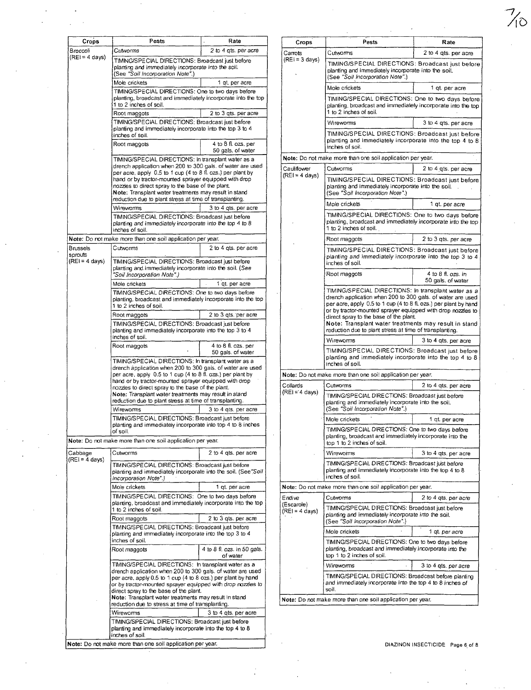| Crops<br>Broccoli           | Pests<br>Cutworms                                                                                                                                                                         | Rate<br>2 to 4 gts. per acre                     | Crops                                   | Pests                                                                                                                                                                                    | Rate                                    |
|-----------------------------|-------------------------------------------------------------------------------------------------------------------------------------------------------------------------------------------|--------------------------------------------------|-----------------------------------------|------------------------------------------------------------------------------------------------------------------------------------------------------------------------------------------|-----------------------------------------|
| $(REI = 4 \text{ days})$    | TIMING/SPECIAL DIRECTIONS: Broadcast just before<br>planting and immediately incorporate into the soil.                                                                                   |                                                  | Carrots<br>$(REI = 3 days)$             | Cutworms<br>TIMING/SPECIAL DIRECTIONS: Broadcast just befo                                                                                                                               | 2 to 4 qts. per acre                    |
|                             | (See "Soil Incorporation Note".)<br>Mole crickets                                                                                                                                         | 1 gt. per acre                                   |                                         | planting and immediately incorporate into the soil.<br>(See "Soil Incorporation Note".)                                                                                                  |                                         |
|                             | TIMING/SPECIAL DIRECTIONS: One to two days before                                                                                                                                         |                                                  |                                         | Mole crickets                                                                                                                                                                            | 1 qt. per acre                          |
|                             | planting, broadcast and immediately incorporate into the top<br>1 to 2 inches of soil.<br>Root maggots                                                                                    | 2 to 3 gts. per acre                             |                                         | TIMING/SPECIAL DIRECTIONS: One to two days before<br>planting, broadcast and immediately incorporate into the t<br>1 to 2 inches of soil.                                                |                                         |
|                             | TIMING/SPECIAL DIRECTIONS: Broadcast just before                                                                                                                                          |                                                  |                                         | Wireworms                                                                                                                                                                                | 3 to 4 qts. per acre                    |
|                             | planting and immediately incorporate into the top 3 to 4<br>inches of soil.                                                                                                               |                                                  |                                         | TIMING/SPECIAL DIRECTIONS: Broadcast just befo                                                                                                                                           |                                         |
|                             | Root maggots                                                                                                                                                                              | 4 to 8 fl. ozs. per<br>50 gals, of water         |                                         | planting and immediately incorporate into the top 4 to<br>inches of soil.                                                                                                                |                                         |
|                             | TIMING/SPECIAL DIRECTIONS: In transplant water as a                                                                                                                                       |                                                  |                                         | Note: Do not make more than one soil application per year.                                                                                                                               |                                         |
|                             | drench application when 200 to 300 gals, of water are used<br>per acre, apply 0.5 to 1 cup (4 to 8 fl. ozs.) per plant by                                                                 |                                                  | Cauliflower<br>$(REI = 4 \text{ days})$ | Cutworms                                                                                                                                                                                 | 2 to 4 gts. per acre                    |
|                             | hand or by tractor-mounted sprayer equipped with drop<br>nozzles to direct spray to the base of the plant.<br>Note: Transplant water treatments may result in stand                       |                                                  |                                         | TIMING/SPECIAL DIRECTIONS: Broadcast just befo<br>planting and immediately incorporate into the soil.<br>(See "Soil Incorporation Note".)                                                |                                         |
|                             | reduction due to plant stress at time of transplanting.<br>Wireworms                                                                                                                      | 3 to 4 gts. per acre                             |                                         | Mole crickets                                                                                                                                                                            | 1 gt. per acre                          |
|                             | TIMING/SPECIAL DIRECTIONS: Broadcast just before<br>planting and immediately incorporate into the top 4 to 8<br>inches of soil.                                                           |                                                  |                                         | TIMING/SPECIAL DIRECTIONS: One to two days befo<br>planting, broadcast and immediately incorporate into the to<br>1 to 2 inches of soil.                                                 |                                         |
|                             | Note: Do not make more than one soil application per year.                                                                                                                                |                                                  |                                         | Root maggots                                                                                                                                                                             | 2 to 3 gts, per acre                    |
| <b>Brussels</b>             | Cutworms                                                                                                                                                                                  | 2 to 4 gts. per acre                             |                                         | TIMING/SPECIAL DIRECTIONS: Broadcast just befo                                                                                                                                           |                                         |
| sprouts<br>$(REI = 4 days)$ | TIMING/SPECIAL DIRECTIONS: Broadcast just before<br>planting and immediately incorporate into the soil. (See                                                                              |                                                  |                                         | planting and immediately incorporate into the top 3 to<br>inches of soil.                                                                                                                |                                         |
|                             | "Soil Incorporation Note".)<br>Mole crickets                                                                                                                                              | 1 qt. per acre                                   |                                         | Root maggots                                                                                                                                                                             | 4 to 8 fl. ozs. in<br>50 gals. of water |
|                             | TIMING/SPECIAL DIRECTIONS: One to two days before                                                                                                                                         |                                                  |                                         | TIMING/SPECIAL DIRECTIONS: In transplant water as                                                                                                                                        |                                         |
|                             | planting, broadcast and immediately incorporate into the top<br>1 to 2 inches of soil.                                                                                                    | 2 to 3 gts. per acre                             |                                         | drench application when 200 to 300 gals. of water are use<br>per acre, apply 0.5 to 1 cup (4 to 8 fl. ozs.) per plant by har<br>or by tractor-mounted sprayer equipped with drop nozzles |                                         |
|                             | Root maggots                                                                                                                                                                              | TIMING/SPECIAL DIRECTIONS: Broadcast just before |                                         | direct spray to the base of the plant.<br>Note: Transplant water treatments may result in star                                                                                           |                                         |
|                             | planting and immediately incorporate into the top 3 to 4                                                                                                                                  |                                                  |                                         | reduction due to plant stress at time of transplanting.                                                                                                                                  |                                         |
|                             | inches of soil.<br>Root maggots                                                                                                                                                           | 4 to 8 fl. ozs. per                              |                                         | Wireworms                                                                                                                                                                                | 3 to 4 gts, per acre                    |
|                             | TIMING/SPECIAL DIRECTIONS: In transplant water as a                                                                                                                                       | 50 gals. of water                                |                                         | TIMING/SPECIAL DIRECTIONS: Broadcast just befor<br>planting and immediately incorporate into the top 4 to                                                                                |                                         |
|                             | drench application when 200 to 300 gals. of water are used<br>per acre, apply 0.5 to 1 cup (4 to 8 fl. ozs.) per plant by                                                                 |                                                  |                                         | inches of soil.<br>Note: Do not make more than one soil application per year.                                                                                                            |                                         |
|                             | hand or by tractor-mounted sprayer equipped with drop                                                                                                                                     |                                                  | Collards                                | Cutworms                                                                                                                                                                                 | 2 to 4 gts, per acre                    |
|                             | nozzles to direct spray to the base of the plant.<br>Note: Transplant water treatments may result in stand                                                                                |                                                  | $(REI = 4 days)$                        | TIMING/SPECIAL DIRECTIONS: Broadcast just before                                                                                                                                         |                                         |
|                             | reduction due to plant stress at time of transplanting.<br>Wireworms                                                                                                                      | 3 to 4 gts. per acre                             |                                         | planting and immediately incorporate into the soil.<br>(See "Soil Incorporation Note".)                                                                                                  |                                         |
|                             | TIMING/SPECIAL DIRECTIONS: Broadcast just before                                                                                                                                          |                                                  |                                         | Mole crickets                                                                                                                                                                            | 1 qt. per acre                          |
|                             | planting and immediately incorporate into top 4 to 8 inches                                                                                                                               |                                                  |                                         | TIMING/SPECIAL DIRECTIONS: One to two days before                                                                                                                                        |                                         |
|                             | of soil.<br>Note: Do not make more than one soil application per year.                                                                                                                    |                                                  |                                         | planting, broadcast and immediately incorporate into the<br>top 1 to 2 inches of soil.                                                                                                   |                                         |
| Cabbage                     | Cutworms                                                                                                                                                                                  | 2 to 4 ats. per acre                             |                                         | Wireworms                                                                                                                                                                                | 3 to 4 gts, per acre                    |
| $(REI = 4 \text{ days})$    | TIMING/SPECIAL DIRECTIONS: Broadcast just before<br>planting and immediately incorporate into the soil. (See"Soil<br>Incorporation Note".)                                                |                                                  |                                         | TIMING/SPECIAL DIRECTIONS: Broadcast just before<br>planting and immediately incorporate into the top 4 to 8<br>inches of soil.                                                          |                                         |
|                             | Mole crickets                                                                                                                                                                             | 1 gt. per acre                                   |                                         | Note: Do not make more than one soil application per year.                                                                                                                               |                                         |
|                             | TIMING/SPECIAL DIRECTIONS: One to two days before                                                                                                                                         |                                                  | Endive                                  | Cutworms                                                                                                                                                                                 | 2 to 4 gts, per acre                    |
|                             | planting, broadcast and immediately incorporate into the top<br>1 to 2 inches of soil.<br>Root maggots                                                                                    | 2 to 3 gts. per acre                             | (Escarole)<br>$(REI = 4 \text{ days})$  | TIMING/SPECIAL DIRECTIONS: Broadcast just before<br>planting and immediately incorporate into the soil.                                                                                  |                                         |
|                             | TIMING/SPECIAL DIRECTIONS: Broadcast just before                                                                                                                                          |                                                  |                                         | (See "Soil Incorporation Note".)                                                                                                                                                         |                                         |
|                             | planting and immediately incorporate into the top 3 to 4                                                                                                                                  |                                                  |                                         | Mole crickets                                                                                                                                                                            | 1 gt. per acre                          |
|                             | inches of soil.<br>Root maggots                                                                                                                                                           | 4 to 8 fl. ozs. in 50 gals.<br>of water          |                                         | TIMING/SPECIAL DIRECTIONS: One to two days before<br>planting, broadcast and immediately incorporate into the<br>top 1 to 2 inches of soil.                                              |                                         |
|                             | TIMING/SPECIAL DIRECTIONS: In transplant water as a                                                                                                                                       |                                                  |                                         | Wireworms                                                                                                                                                                                | 3 to 4 gts, per acre                    |
|                             | drench application when 200 to 300 gals, of water are used<br>per acre, apply 0.5 to 1 cup (4 to 8 ozs.) per plant by hand<br>or by tractor-mounted sprayer equipped with drop nozzles to |                                                  |                                         | TIMING/SPECIAL DIRECTIONS: Broadcast before planting<br>and immediately incorporate into the top 4 to 8 inches of<br>soil.                                                               |                                         |
|                             | direct spray to the base of the plant.<br>Note: Transplant water treatments may result in stand<br>reduction due to stress at time of transplanting.                                      |                                                  |                                         | Note: Do not make more than one soil application per year.                                                                                                                               |                                         |
|                             | Wireworms                                                                                                                                                                                 | 3 to 4 gts. per acre                             |                                         |                                                                                                                                                                                          |                                         |
|                             | TIMING/SPECIAL DIRECTIONS: Broadcast just before<br>planting and immediately incorporate into the top 4 to 8                                                                              |                                                  |                                         |                                                                                                                                                                                          |                                         |
|                             | inches of soil.                                                                                                                                                                           |                                                  |                                         |                                                                                                                                                                                          |                                         |

| Pests                                                                                                                                                                                                                               | Rate                                     | Crops                                  | Pests                                                                                                                                                                                         | Rate                                    |
|-------------------------------------------------------------------------------------------------------------------------------------------------------------------------------------------------------------------------------------|------------------------------------------|----------------------------------------|-----------------------------------------------------------------------------------------------------------------------------------------------------------------------------------------------|-----------------------------------------|
| Cutworms                                                                                                                                                                                                                            | 2 to 4 gts. per acre                     | Carrots                                | Cutworms                                                                                                                                                                                      | 2 to 4 qts. per acre                    |
| TIMING/SPECIAL DIRECTIONS: Broadcast just before<br>planting and immediately incorporate into the soil.<br>(See "Soil Incorporation Note".)                                                                                         |                                          | $(REI = 3 days)$                       | TIMING/SPECIAL DIRECTIONS: Broadcast just before<br>planting and immediately incorporate into the soil.<br>(See "Soil Incorporation Note".)                                                   |                                         |
| Mole crickets                                                                                                                                                                                                                       | 1 gt. per acre                           |                                        | Mole crickets                                                                                                                                                                                 | 1 gt. per acre                          |
| TIMING/SPECIAL DIRECTIONS: One to two days before<br>planting, broadcast and immediately incorporate into the top<br>1 to 2 inches of soil.                                                                                         |                                          |                                        | TIMING/SPECIAL DIRECTIONS: One to two days before<br>planting, broadcast and immediately incorporate into the top                                                                             |                                         |
| Root maggots                                                                                                                                                                                                                        | 2 to 3 gts. per acre                     |                                        | 1 to 2 inches of soil.                                                                                                                                                                        |                                         |
| TIMING/SPECIAL DIRECTIONS: Broadcast just before<br>planting and immediately incorporate into the top 3 to 4                                                                                                                        |                                          |                                        | Wireworms                                                                                                                                                                                     | 3 to 4 gts. per acre                    |
| inches of soil.<br>Root maggots                                                                                                                                                                                                     | 4 to 8 fl. ozs. per<br>50 gals, of water |                                        | TIMING/SPECIAL DIRECTIONS: Broadcast just before<br>planting and immediately incorporate into the top 4 to 8<br>inches of soil.                                                               |                                         |
| TIMING/SPECIAL DIRECTIONS: In transplant water as a                                                                                                                                                                                 |                                          |                                        | Note: Do not make more than one soil application per year.                                                                                                                                    |                                         |
| drench application when 200 to 300 gals, of water are used                                                                                                                                                                          |                                          | Cauliflower                            | Cutworms                                                                                                                                                                                      | 2 to 4 gts. per acre                    |
| per acre, apply 0.5 to 1 cup (4 to 8 fl. ozs.) per plant by<br>hand or by tractor-mounted sprayer equipped with drop<br>nozzles to direct spray to the base of the plant.<br>Note: Transplant water treatments may result in stand  |                                          | $(REI = 4 \text{ days})$               | TIMING/SPECIAL DIRECTIONS: Broadcast just before<br>planting and immediately incorporate into the soil.<br>(See "Soil Incorporation Note".)                                                   |                                         |
| reduction due to plant stress at time of transplanting.                                                                                                                                                                             |                                          |                                        | Mole crickets                                                                                                                                                                                 | 1 gt. per acre                          |
| Wireworms<br>TIMING/SPECIAL DIRECTIONS: Broadcast just before                                                                                                                                                                       | 3 to 4 gts. per acre                     |                                        | TIMING/SPECIAL DIRECTIONS: One to two days before                                                                                                                                             |                                         |
| planting and immediately incorporate into the top 4 to 8<br>inches of soil.                                                                                                                                                         |                                          |                                        | planting, broadcast and immediately incorporate into the top<br>1 to 2 inches of soil.                                                                                                        |                                         |
| ke more than one soil application per year.                                                                                                                                                                                         |                                          |                                        | Root maggots                                                                                                                                                                                  | 2 to 3 gts, per acre                    |
| Cutworms<br>TIMING/SPECIAL DIRECTIONS: Broadcast just before                                                                                                                                                                        | 2 to 4 gts. per acre                     |                                        | TIMING/SPECIAL DIRECTIONS: Broadcast just before<br>planting and immediately incorporate into the top 3 to 4<br>inches of soil.                                                               |                                         |
| planting and immediately incorporate into the soil. (See<br>"Soil Incorporation Note".)                                                                                                                                             |                                          |                                        | Root maggots                                                                                                                                                                                  | 4 to 8 fl. ozs. in<br>50 gals. of water |
| Mole crickets                                                                                                                                                                                                                       | 1 qt. per acre                           |                                        | TIMING/SPECIAL DIRECTIONS: In transplant water as a                                                                                                                                           |                                         |
| TIMING/SPECIAL DIRECTIONS: One to two days before<br>planting, broadcast and immediately incorporate into the top<br>1 to 2 inches of soil.                                                                                         |                                          |                                        | drench application when 200 to 300 gals. of water are used<br>per acre, apply 0.5 to 1 cup (4 to 8 fl. ozs.) per plant by hand<br>or by tractor-mounted sprayer equipped with drop nozzles to |                                         |
| Root maggots                                                                                                                                                                                                                        | 2 to 3 gts. per acre                     |                                        | direct spray to the base of the plant.                                                                                                                                                        |                                         |
| TIMING/SPECIAL DIRECTIONS: Broadcast just before<br>planting and immediately incorporate into the top 3 to 4                                                                                                                        |                                          |                                        | Note: Transplant water treatments may result in stand<br>reduction due to plant stress at time of transplanting.                                                                              |                                         |
| inches of soil.                                                                                                                                                                                                                     |                                          |                                        | Wireworms                                                                                                                                                                                     | 3 to 4 gts, per acre                    |
| Root maggots                                                                                                                                                                                                                        | 4 to 8 fl. ozs. per<br>50 gals, of water |                                        | TIMING/SPECIAL DIRECTIONS: Broadcast just before<br>planting and immediately incorporate into the top 4 to 8                                                                                  |                                         |
| TIMING/SPECIAL DIRECTIONS: In transplant water as a<br>drench application when 200 to 300 gals. of water are used                                                                                                                   |                                          |                                        | inches of soil.                                                                                                                                                                               |                                         |
| per acre, apply 0.5 to 1 cup (4 to 8 fl. ozs.) per plant by                                                                                                                                                                         |                                          |                                        | Note: Do not make more than one soil application per year.                                                                                                                                    |                                         |
| hand or by tractor-mounted sprayer equipped with drop<br>nozzles to direct spray to the base of the plant.                                                                                                                          |                                          | Collards                               | Cutworms                                                                                                                                                                                      | 2 to 4 gts, per acre                    |
| Note: Transplant water treatments may result in stand<br>reduction due to plant stress at time of transplanting.                                                                                                                    |                                          | $(RE = 4 days)$                        | TIMING/SPECIAL DIRECTIONS: Broadcast just before<br>planting and immediately incorporate into the soil.                                                                                       |                                         |
| Wireworms                                                                                                                                                                                                                           | 3 to 4 gts. per acre                     |                                        | (See "Soil Incorporation Note".)                                                                                                                                                              |                                         |
| TIMING/SPECIAL DIRECTIONS: Broadcast just before                                                                                                                                                                                    |                                          |                                        | Mole crickets                                                                                                                                                                                 | 1 qt per acre                           |
| planting and immediately incorporate into top 4 to 8 inches<br>of soil.<br>ke more than one soil application per year.                                                                                                              |                                          |                                        | TIMING/SPECIAL DIRECTIONS: One to two days before<br>planting, broadcast and immediately incorporate into the<br>top 1 to 2 inches of soil.                                                   |                                         |
| Cutworms                                                                                                                                                                                                                            | 2 to 4 gts. per acre                     |                                        | Wireworms                                                                                                                                                                                     | 3 to 4 gts, per acre                    |
| TIMING/SPECIAL DIRECTIONS: Broadcast just before<br>planting and immediately incorporate into the soil. (See "Soil<br>Incorporation Note".)                                                                                         |                                          |                                        | TIMING/SPECIAL DIRECTIONS: Broadcast just before<br>planting and immediately incorporate into the top 4 to 8<br>inches of soil.                                                               |                                         |
| Mole crickets                                                                                                                                                                                                                       | 1 qt. per acre                           |                                        | Note: Do not make more than one soil application per year.                                                                                                                                    |                                         |
| TIMING/SPECIAL DIRECTIONS: One to two days before                                                                                                                                                                                   |                                          | Endive                                 | Cutworms                                                                                                                                                                                      | 2 to 4 ats, per acre                    |
| planting, broadcast and immediately incorporate into the top<br>1 to 2 inches of soil.                                                                                                                                              |                                          | (Escarole)<br>$(REI = 4 \text{ days})$ | TIMING/SPECIAL DIRECTIONS: Broadcast just before                                                                                                                                              |                                         |
| Root maggots                                                                                                                                                                                                                        | 2 to 3 qts. per acre                     |                                        | planting and immediately incorporate into the soil.<br>(See "Soil Incorporation Note".)                                                                                                       |                                         |
| TIMING/SPECIAL DIRECTIONS: Broadcast just before<br>planting and immediately incorporate into the top 3 to 4<br>inches of soil.                                                                                                     |                                          |                                        | Mole crickets                                                                                                                                                                                 | 1 qt. per acre                          |
| Root maggots                                                                                                                                                                                                                        | 4 to 8 fl. ozs. in 50 gals.<br>of water  |                                        | TIMING/SPECIAL DIRECTIONS: One to two days before<br>planting, broadcast and immediately incorporate into the<br>top 1 to 2 inches of soil.                                                   |                                         |
| TIMING/SPECIAL DIRECTIONS: In transplant water as a                                                                                                                                                                                 |                                          |                                        | Wireworms                                                                                                                                                                                     | 3 to 4 gts, per acre                    |
| drench application when 200 to 300 gals. of water are used<br>per acre, apply 0.5 to 1 cup (4 to 8 ozs.) per plant by hand<br>or by tractor-mounted sprayer equipped with drop nozzles to<br>direct spray to the base of the plant. |                                          |                                        | TIMING/SPECIAL DIRECTIONS: Broadcast before planting<br>and immediately incorporate into the top 4 to 8 inches of<br>soil.                                                                    |                                         |
| Note: Transplant water treatments may result in stand<br>reduction due to stress at time of transplanting.                                                                                                                          |                                          |                                        | Note: Do not make more than one soil application per year.                                                                                                                                    |                                         |
|                                                                                                                                                                                                                                     |                                          |                                        |                                                                                                                                                                                               |                                         |

 $\frac{7}{10}$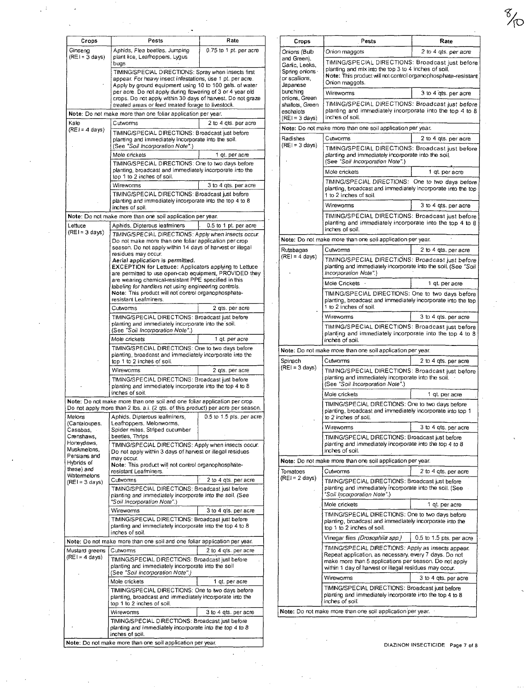| Crops                                      | Pests                                                                                                                                                                                                                                       | Rate                     | Crops                                                                 | Pests                                                                                                                                                                                                                             | Rate                         |  |  |
|--------------------------------------------|---------------------------------------------------------------------------------------------------------------------------------------------------------------------------------------------------------------------------------------------|--------------------------|-----------------------------------------------------------------------|-----------------------------------------------------------------------------------------------------------------------------------------------------------------------------------------------------------------------------------|------------------------------|--|--|
| Ginseng                                    | Aphids, Flea beetles, Jumping                                                                                                                                                                                                               | 0.75 to 1 pt. per acre   | Onions (Bulb                                                          | Onion maggots                                                                                                                                                                                                                     | 2 to 4 gts, per acre         |  |  |
| $(REI = 3 days)$                           | plant lice, Leafhoppers, Lygus<br>bugs<br>TIMING/SPECIAL DIRECTIONS: Spray when insects first<br>appear. For heavy insect infestations, use 1 pt. per acre.                                                                                 |                          | and Green),<br>Garlic, Leeks,<br>Spring onions<br>or scallions,       | TIMING/SPECIAL DIRECTIONS: Broadcast just befo<br>planting and mix into the top 3 to 4 inches of soil.<br>Note: This product will not control organophosphate-resist<br>Onion maggots.                                            |                              |  |  |
|                                            | Apply by ground equipment using 10 to 100 gals. of water<br>per acre. Do not apply during flowering of 3 or 4 year old                                                                                                                      |                          | Japanese<br>bunching<br>onions, Green<br>shallots, Green<br>eschalots | Wireworms                                                                                                                                                                                                                         | 3 to 4 gts. per acre         |  |  |
|                                            | crops. Do not apply within 30 days of harvest. Do not graze<br>treated areas or feed treated forage to livestock.<br>Note: Do not make more than one foliar application per year.                                                           |                          |                                                                       | TIMING/SPECIAL DIRECTIONS: Broadcast just befo<br>planting and immediately incorporate into the top 4 to                                                                                                                          |                              |  |  |
| Kale<br>$(REI = 4 \text{ days})$           | Cutworms                                                                                                                                                                                                                                    | 2 to 4 gts. per acre     | $(REI = 3 \text{ days})$                                              | inches of soil.<br>Note: Do not make more than one soil application per year.                                                                                                                                                     |                              |  |  |
|                                            | TIMING/SPECIAL DIRECTIONS: Broadcast just before                                                                                                                                                                                            |                          | Radishes                                                              | Cutworms                                                                                                                                                                                                                          | 2 to 4 qts. per acre         |  |  |
|                                            | planting and immediately incorporate into the soil.<br>(See "Soil Incorporation Note".)<br>Mole crickets<br>1 gt, per acre<br>TIMING/SPECIAL DIRECTIONS: One to two days before<br>planting, broadcast and immediately incorporate into the |                          | $(REI = 3 days)$                                                      | TIMING/SPECIAL DIRECTIONS: Broadcast just before<br>planting and immediately incorporate into the soil.                                                                                                                           |                              |  |  |
|                                            |                                                                                                                                                                                                                                             |                          |                                                                       | (See "Soil Incorporation Note".)<br>Mole crickets                                                                                                                                                                                 | 1 qt. per acre               |  |  |
|                                            | top 1 to 2 inches of soil.<br>Wireworms                                                                                                                                                                                                     | 3 to 4 gts. per acre     |                                                                       | TIMING/SPECIAL DIRECTIONS: One to two days before<br>planting, broadcast and immediately incorporate into the t                                                                                                                   |                              |  |  |
|                                            | TIMING/SPECIAL DIRECTIONS: Broadcast just before<br>planting and immediately incorporate into the top 4 to 8<br>inches of soil.                                                                                                             |                          |                                                                       | 1 to 2 inches of soil.<br>Wireworms                                                                                                                                                                                               | 3 to 4 gts. per acre         |  |  |
|                                            | Note: Do not make more than one soil application per year.                                                                                                                                                                                  |                          |                                                                       | TIMING/SPECIAL DIRECTIONS: Broadcast just befo                                                                                                                                                                                    |                              |  |  |
| Lettuce                                    | Aphids, Dipterous leafminers                                                                                                                                                                                                                | 0.5 to 1 pt. per acre    |                                                                       | planting and immediately incorporate into the top 4 to<br>inches of soil.                                                                                                                                                         |                              |  |  |
| $(REI = 3 days)$                           | TIMING/SPECIAL DIRECTIONS: Apply when insects occur.<br>Do not make more than one foliar application per crop                                                                                                                               |                          | Note: Do not make more than one soil application per year.            |                                                                                                                                                                                                                                   |                              |  |  |
|                                            | season. Do not apply within 14 days of harvest or illegal                                                                                                                                                                                   |                          | Rutabagas                                                             | Cutworms                                                                                                                                                                                                                          | 2 to 4 gts, per acre         |  |  |
|                                            | residues may occur.<br>Aerial application is permitted.<br><b>EXCEPTION for Lettuce: Applicators applying to Lettuce</b><br>are permitted to use open-cab equipment, PROVIDED they                                                          |                          | $(REI = 4 \text{ days})$                                              | TIMING/SPECIAL DIRECTIONS: Broadcast just befo<br>planting and immediately incorporate into the soil. (See "S<br>Incorporation Note".)                                                                                            |                              |  |  |
|                                            | are wearing chemical-resistant PPE specified in this<br>labeling for handlers not using engineering controls.                                                                                                                               |                          |                                                                       | Mole Crickets                                                                                                                                                                                                                     | 1 qt per acre                |  |  |
|                                            | Note: This product will not control organophosphate-<br>resistant Leafminers.                                                                                                                                                               |                          |                                                                       | TIMING/SPECIAL DIRECTIONS: One to two days befo<br>planting, broadcast and immediately incorporate into the t<br>1 to 2 inches of soil.                                                                                           |                              |  |  |
|                                            | Cutworms<br>TIMING/SPECIAL DIRECTIONS: Broadcast just before                                                                                                                                                                                | 2 gts. per acre          |                                                                       | Wireworms                                                                                                                                                                                                                         | 3 to 4 gts. per acre         |  |  |
|                                            | planting and immediately incorporate into the soil.<br>(See "Soil Incorporation Note".)                                                                                                                                                     |                          |                                                                       | TIMING/SPECIAL DIRECTIONS: Broadcast just befo<br>planting and immediately incorporate into the top 4 to                                                                                                                          |                              |  |  |
|                                            | Mole crickets<br>TIMING/SPECIAL DIRECTIONS: One to two days before                                                                                                                                                                          | 1 qt. per acre           |                                                                       | inches of soil.                                                                                                                                                                                                                   |                              |  |  |
|                                            | planting, broadcast and immediately incorporate into the<br>top 1 to 2 inches of soil.                                                                                                                                                      |                          | Spinach                                                               | Note: Do not make more than one soil application per year.<br>Cutworms                                                                                                                                                            | 2 to 4 gts. per acre         |  |  |
|                                            | Wireworms                                                                                                                                                                                                                                   | 2 qts. per acre          | $(REI = 3 days)$                                                      | TIMING/SPECIAL DIRECTIONS: Broadcast just befo                                                                                                                                                                                    |                              |  |  |
|                                            | TIMING/SPECIAL DIRECTIONS: Broadcast just before<br>planting and immediately incorporate into the top 4 to 8<br>inches of soil.                                                                                                             |                          |                                                                       | planting and immediately incorporate into the soil.<br>(See "Soil Incorporation Note".)                                                                                                                                           |                              |  |  |
|                                            | Note: Do not make more than one soil and one foliar application per crop.                                                                                                                                                                   |                          |                                                                       | Mole crickets<br>TIMING/SPECIAL DIRECTIONS: One to two days before                                                                                                                                                                | 1 gt. per acre               |  |  |
| Melons                                     | Do not apply more than 2 lbs. a.i. (2 qts. of this product) per acre per season.<br>Aphids, Dipterous leafminers,                                                                                                                           | 0.5 to 1.5 pts, per acre |                                                                       | planting, broadcast and immediately incorporate into top 1<br>to 2 inches of soil.                                                                                                                                                |                              |  |  |
| (Cantaloupes.<br>Casabas,                  | Leafhoppers, Melonworms,<br>Spider mites, Striped cucumber                                                                                                                                                                                  |                          |                                                                       | Wireworms                                                                                                                                                                                                                         | 3 to 4 gts. per acre         |  |  |
| Crenshaws,<br>Honeydews,<br>Muskmelons.    | beetles, Thrips<br>TIMING/SPECIAL DIRECTIONS: Apply when insects occur.<br>Do not apply within 3 days of harvest or illegal residues                                                                                                        |                          |                                                                       | TIMING/SPECIAL DIRECTIONS: Broadcast just before<br>planting and immediately incorporate into the top 4 to 8<br>inches of soil.                                                                                                   |                              |  |  |
| Persians and<br>Hybrids of                 | may occur.                                                                                                                                                                                                                                  |                          |                                                                       | Note: Do not make more than one soil application per year.                                                                                                                                                                        |                              |  |  |
| these) and                                 | Note: This product will not control organophosphate-<br>resistant Leafminers.                                                                                                                                                               |                          | Tomatoes                                                              | Cutworms                                                                                                                                                                                                                          | 2 to 4 gts, per acre         |  |  |
| Watermelons<br>(REI = 3 days)              | Cutworms<br>2 to 4 gts. per acre<br>TIMING/SPECIAL DIRECTIONS: Broadcast just before<br>planting and immediately incorporate into the soil. (See                                                                                            |                          | $(REI = 2 \text{ days})$                                              | TIMING/SPECIAL DIRECTIONS: Broadcast just before<br>planting and immediately incorporate into the soil. (See<br>"Soil Incorporation Note".)                                                                                       |                              |  |  |
|                                            | "Soil Incorporation Note".)                                                                                                                                                                                                                 |                          |                                                                       | Mole crickets                                                                                                                                                                                                                     | 1 qt per acre                |  |  |
|                                            | Wireworms                                                                                                                                                                                                                                   | 3 to 4 gts. per acre     |                                                                       | TIMING/SPECIAL DIRECTIONS: One to two days before                                                                                                                                                                                 |                              |  |  |
|                                            | TIMING/SPECIAL DIRECTIONS: Broadcast just before<br>planting and immediately incorporate into the top 4 to 8<br>inches of soil.                                                                                                             |                          |                                                                       | planting, broadcast and immediately incorporate into the<br>top 1 to 2 inches of soil.                                                                                                                                            |                              |  |  |
|                                            | Note: Do not make more than one soil and one foliar application per year.                                                                                                                                                                   |                          |                                                                       | Vinegar flies (Drosophila spp.)                                                                                                                                                                                                   | 0.5 to 1.5 pts. per acr      |  |  |
| Mustard greens<br>$(REI = 4 \text{ days})$ | Cutworms<br>2 to 4 gts. per acre<br>TIMING/SPECIAL DIRECTIONS: Broadcast just before<br>planting and immediately incorporate into the soil                                                                                                  |                          |                                                                       | TIMING/SPECIAL DIRECTIONS: Apply as insects appear.<br>Repeat application, as necessary, every 7 days. Do not<br>make more than 5 applications per season. Do not apply<br>within 1 day of harvest or illegal residues may occur. |                              |  |  |
|                                            | (See "Soil Incorporation Note".)                                                                                                                                                                                                            |                          |                                                                       | Wireworms                                                                                                                                                                                                                         | 3 to 4 gts. per acre         |  |  |
|                                            | Mole crickets<br>1 qt. per acre                                                                                                                                                                                                             |                          |                                                                       | TIMING/SPECIAL DIRECTIONS: Broadcast just before                                                                                                                                                                                  |                              |  |  |
|                                            | TIMIING/SPECIAL DIRECTIONS: One to two days before<br>planting, broadcast and immediately incorporate into the<br>top 1 to 2 inches of soil.                                                                                                |                          |                                                                       | planting and immediately incorporate into the top 4 to 8<br>inches of soil.                                                                                                                                                       |                              |  |  |
|                                            | Wireworms                                                                                                                                                                                                                                   | 3 to 4 gts. per acre     |                                                                       | Note: Do not make more than one soil application per year.                                                                                                                                                                        |                              |  |  |
|                                            | TIMING/SPECIAL DIRECTIONS: Broadcast just before<br>planting and immediately incorporate into the top 4 to 8<br>inches of soil.                                                                                                             |                          |                                                                       |                                                                                                                                                                                                                                   |                              |  |  |
|                                            | Note: Do not make more than one soil application per year.                                                                                                                                                                                  |                          |                                                                       |                                                                                                                                                                                                                                   | DIAZINON INSECTICIDE Page 7. |  |  |

 $\ddot{\phantom{0}}$ 

 $\sqrt{3}$ 

| Crops                                    | Pests                                                                                                                                                                                                                                                       | Rate                       | Crops                            | Pests                                                                                                                                       | Rate                       |
|------------------------------------------|-------------------------------------------------------------------------------------------------------------------------------------------------------------------------------------------------------------------------------------------------------------|----------------------------|----------------------------------|---------------------------------------------------------------------------------------------------------------------------------------------|----------------------------|
| Ginseng<br>$(REI = 3 days)$              | Aphids, Flea beetles, Jumping                                                                                                                                                                                                                               | 0.75 to 1 pt. per acre     | Onions (Bulb                     | Onion maggots                                                                                                                               | 2 to 4 qts. per acre       |
|                                          | plant lice, Leafhoppers, Lygus<br>bugs                                                                                                                                                                                                                      |                            | and Green),<br>Garlic, Leeks,    | TIMING/SPECIAL DIRECTIONS: Broadcast just before                                                                                            |                            |
|                                          | TIMING/SPECIAL DIRECTIONS: Spray when insects first                                                                                                                                                                                                         |                            | Spring onions ·                  | planting and mix into the top 3 to 4 inches of soil.<br>Note: This product will not control organophosphate-resistant<br>Onion maggots.     |                            |
|                                          | appear. For heavy insect infestations, use 1 pt. per acre.                                                                                                                                                                                                  |                            | or scallions.<br>Japanese        |                                                                                                                                             |                            |
|                                          | Apply by ground equipment using 10 to 100 gals. of water<br>per acre. Do not apply during flowering of 3 or 4 year old                                                                                                                                      |                            | bunching                         | Wireworms                                                                                                                                   | 3 to 4 gts. per acre       |
|                                          | crops. Do not apply within 30 days of harvest. Do not graze<br>treated areas or feed treated forage to livestock.                                                                                                                                           |                            | onions, Green<br>shallots, Green | TIMING/SPECIAL DIRECTIONS: Broadcast just before                                                                                            |                            |
|                                          | Note: Do not make more than one foliar application per year.                                                                                                                                                                                                |                            | eschalots                        | planting and immediately incorporate into the top 4 to 8                                                                                    |                            |
| Kale<br>$(RE) = 4$ days)                 | Cutwoms                                                                                                                                                                                                                                                     | 2 to 4 gts. per acre       | $(REI = 3 days)$                 | inches of soil.                                                                                                                             |                            |
|                                          | TIMING/SPECIAL DIRECTIONS: Broadcast just before                                                                                                                                                                                                            |                            |                                  | Note: Do not make more than one soil application per year.                                                                                  |                            |
|                                          | planting and immediately incorporate into the soil.<br>(See "Soil Incorporation Note".)                                                                                                                                                                     |                            | Radishes<br>(REI = 3 days)       | Cutworms                                                                                                                                    | 2 to 4 gts. per acre       |
|                                          | Mole crickets<br>1 gt, per acre                                                                                                                                                                                                                             |                            |                                  | TIMING/SPECIAL DIRECTIONS: Broadcast just before<br>planting and immediately incorporate into the soil.                                     |                            |
|                                          | TIMING/SPECIAL DIRECTIONS: One to two days before                                                                                                                                                                                                           |                            |                                  | (See "Soil Incorporation Note".)                                                                                                            |                            |
|                                          | planting, broadcast and immediately incorporate into the<br>top 1 to 2 inches of soil.                                                                                                                                                                      |                            |                                  | Mole crickets                                                                                                                               | 1 qt. per acre             |
|                                          | Wireworms                                                                                                                                                                                                                                                   | 3 to 4 gts. per acre       |                                  | TIMING/SPECIAL DIRECTIONS: One to two days before<br>planting, broadcast and immediately incorporate into the top                           |                            |
|                                          | TIMING/SPECIAL DIRECTIONS: Broadcast just before<br>planting and immediately incorporate into the top 4 to 8<br>inches of soil.                                                                                                                             |                            |                                  | 1 to 2 inches of soil.                                                                                                                      |                            |
|                                          |                                                                                                                                                                                                                                                             |                            |                                  | Wireworms                                                                                                                                   | 3 to 4 gts. per acre       |
|                                          | Note: Do not make more than one soil application per year.                                                                                                                                                                                                  |                            |                                  | TIMING/SPECIAL DIRECTIONS: Broadcast just before                                                                                            |                            |
| Lettuce                                  | 0.5 to 1 pt. per acre<br>Aphids, Dipterous leafminers<br>TIMING/SPECIAL DIRECTIONS: Apply when insects occur.<br>Do not make more than one foliar application per crop<br>season. Do not apply within 14 days of harvest or illegal                         |                            |                                  | planting and immediately incorporate into the top 4 to 8<br>inches of soil.                                                                 |                            |
| (REI = 3 days)                           |                                                                                                                                                                                                                                                             |                            |                                  | Note: Do not make more than one soil application per year.                                                                                  |                            |
|                                          |                                                                                                                                                                                                                                                             |                            | Rutabagas                        | Cutworms                                                                                                                                    | 2 to 4 qts, per acre       |
|                                          | residues may occur.<br>Aerial application is permitted.                                                                                                                                                                                                     |                            | $(REI = 4 \text{ days})$         | TIMING/SPECIAL DIRECTIONS: Broadcast just before                                                                                            |                            |
|                                          | <b>EXCEPTION for Lettuce: Applicators applying to Lettuce</b><br>are permitted to use open-cab equipment, PROVIDED they                                                                                                                                     |                            |                                  | planting and immediately incorporate into the soil. (See "Soil<br>Incorporation Note".)                                                     |                            |
|                                          | are wearing chemical-resistant PPE specified in this<br>labeling for handlers not using engineering controls.                                                                                                                                               |                            |                                  | Mole Crickets -                                                                                                                             | 1 qt per acre              |
|                                          | Note: This product will not control organophosphate-<br>resistant Leafminers.<br>Cutworms<br>2 gts. per acre<br>TIMING/SPECIAL DIRECTIONS: Broadcast just before<br>planting and immediately incorporate into the soil.<br>(See "Soil Incorporation Note".) |                            |                                  | TIMING/SPECIAL DIRECTIONS: One to two days before<br>planting, broadcast and immediately incorporate into the top<br>1 to 2 inches of soil. |                            |
|                                          |                                                                                                                                                                                                                                                             |                            |                                  |                                                                                                                                             |                            |
|                                          |                                                                                                                                                                                                                                                             |                            |                                  | Wireworms                                                                                                                                   | 3 to 4 gts. per acre       |
|                                          |                                                                                                                                                                                                                                                             |                            |                                  | TIMING/SPECIAL DIRECTIONS: Broadcast just before                                                                                            |                            |
|                                          | Mole crickets                                                                                                                                                                                                                                               | 1 qt. per acre             |                                  | planting and immediately incorporate into the top 4 to 8<br>inches of soil.                                                                 |                            |
|                                          | TIMING/SPECIAL DIRECTIONS: One to two days before                                                                                                                                                                                                           |                            |                                  | Note: Do not make more than one soil application per year.                                                                                  |                            |
|                                          | planting, broadcast and immediately incorporate into the<br>top 1 to 2 inches of soil.                                                                                                                                                                      |                            | Spinach                          | Cutworms                                                                                                                                    | 2 to 4 qts. per acre       |
|                                          | Wireworms                                                                                                                                                                                                                                                   | 2 gts, per acre            | $(REI = 3 days)$                 | TIMING/SPECIAL DIRECTIONS: Broadcast just before                                                                                            |                            |
|                                          | TIMING/SPECIAL DIRECTIONS: Broadcast just before<br>planting and immediately incorporate into the top 4 to 8<br>inches of soil.<br>Note: Do not make more than one soil and one foliar application per crop.                                                |                            |                                  | planting and immediately incorporate into the soil.<br>(See "Soil Incorporation Note".)                                                     |                            |
|                                          |                                                                                                                                                                                                                                                             |                            |                                  | Mole crickets                                                                                                                               | 1 gt. per acre             |
|                                          | Do not apply more than 2 lbs. a.i. (2 qts. of this product) per acre per season.                                                                                                                                                                            |                            |                                  | TIMING/SPECIAL DIRECTIONS: One to two days before<br>planting, broadcast and immediately incorporate into top 1                             |                            |
| Melons                                   | Aphids, Dipterous leafminers,                                                                                                                                                                                                                               | $0.5$ to 1.5 pts. per acre |                                  | to 2 inches of soil.                                                                                                                        |                            |
| Cantaloupes.<br>Casabas, a               | Leafhoppers, Melonworms,<br>Spider mites, Striped cucumber                                                                                                                                                                                                  |                            |                                  | Wireworms                                                                                                                                   | 3 to 4 qts, per acre       |
| Crenshaws,<br>Honeydews,<br>Muskmelons,  | beetles, Thrips<br>TIMING/SPECIAL DIRECTIONS: Apply when insects occur.<br>Do not apply within 3 days of harvest or illegal residues                                                                                                                        |                            |                                  | TIMING/SPECIAL DIRECTIONS: Broadcast just before<br>planting and immediately incorporate into the top 4 to 8<br>inches of soil.             |                            |
| Persians and                             | may occur.                                                                                                                                                                                                                                                  |                            |                                  | Note: Do not make more than one soil application per year.                                                                                  |                            |
| Hybrids of<br>these) and                 | Note: This product will not control organophosphate-<br>resistant Leafminers.                                                                                                                                                                               |                            | Tomatoes                         | Cutworms                                                                                                                                    | 2 to 4 gts, per acre       |
| Watermelons<br>(REI = 3 days)            | Cutworms                                                                                                                                                                                                                                                    | 2 to 4 qts. per acre       | $(REI = 2 \text{ days})$         | TIMING/SPECIAL DIRECTIONS: Broadcast just before                                                                                            |                            |
|                                          | TIMING/SPECIAL DIRECTIONS: Broadcast just before<br>planting and immediately incorporate into the soil. (See<br>"Soil Incorporation Note".)<br>Wireworms<br>3 to 4 gts. per acre<br>TIMING/SPECIAL DIRECTIONS: Broadcast just before                        |                            |                                  | planting and immediately incorporate into the soil. (See<br>"Soil Incorporation Note".)                                                     |                            |
|                                          |                                                                                                                                                                                                                                                             |                            |                                  | Mole crickets                                                                                                                               | 1 qt per acre              |
|                                          |                                                                                                                                                                                                                                                             |                            |                                  | TIMING/SPECIAL DIRECTIONS: One to two days before                                                                                           |                            |
|                                          | planting and immediately incorporate into the top 4 to 8<br>inches of soil.                                                                                                                                                                                 |                            |                                  | planting, broadcast and immediately incorporate into the<br>top 1 to 2 inches of soil.                                                      |                            |
|                                          | Note: Do not make more than one soil and one foliar application per year.                                                                                                                                                                                   |                            |                                  | Vinegar flies <i>(Drosophila spp.)</i>                                                                                                      | $0.5$ to 1.5 pts, per acre |
| Mustard greens<br>$REI = 4 \text{ days}$ | Cutworms                                                                                                                                                                                                                                                    | 2 to 4 gts. per acre       |                                  | TIMING/SPECIAL DIRECTIONS: Apply as insects appear.<br>Repeat application, as necessary, every 7 days. Do not                               |                            |
|                                          | TIMING/SPECIAL DIRECTIONS: Broadcast just before<br>planting and immediately incorporate into the soil<br>(See "Soil Incorporation Note".)                                                                                                                  |                            |                                  | make more than 5 applications per season. Do not apply<br>within 1 day of harvest or illegal residues may occur.                            |                            |
|                                          | Mole crickets                                                                                                                                                                                                                                               | 1 qt. per acre             |                                  | Wireworms                                                                                                                                   | 3 to 4 qts. per acre       |
|                                          | TIMIING/SPECIAL DIRECTIONS: One to two days before<br>planting, broadcast and immediately incorporate into the<br>top 1 to 2 inches of soil.                                                                                                                |                            |                                  | TIMING/SPECIAL DIRECTIONS: Broadcast just before<br>planting and immediately incorporate into the top 4 to 8<br>inches of soil.             |                            |
|                                          | Wireworms                                                                                                                                                                                                                                                   | 3 to 4 qts. per acre       |                                  | Note: Do not make more than one soil application per year.                                                                                  |                            |
|                                          |                                                                                                                                                                                                                                                             |                            |                                  |                                                                                                                                             |                            |

 $\frac{8}{10}$ 

DIAZINON INSECTICIDE Page 7 of 8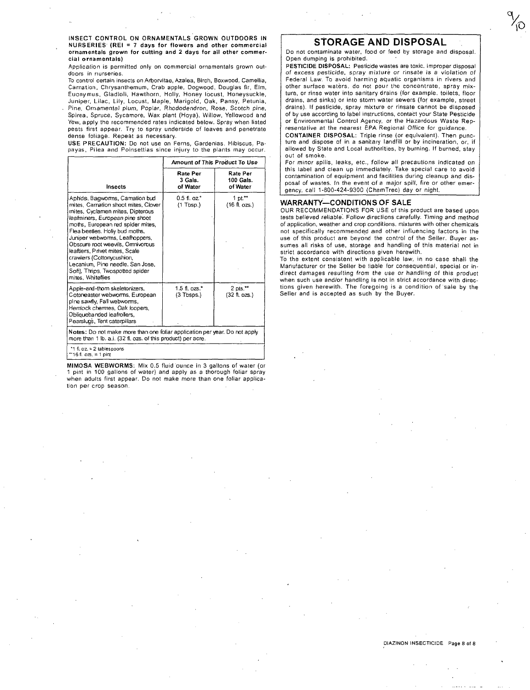INSECT CONTROL ON ORNAMENTALS GROWN OUTDOORS IN NURSERIES' (REI = 7 days for flowers and other commercial ornamentals grown for culting and 2 days for all other commercial ornamentals)

Application is permitted only on commercial ornamentals grown out**doors in nurseries.** 

To control certain insects on Arborvitae, Azalea, Birch, Boxwood, Camellia, Carnation, Chrysanthemum, Crab apple, Dogwood, Douglas fir, Elm, Euonymus, Gladioli, Hawthorn, Holly, Honey locust, Honeysuckle, Juniper, Lilac, Lily, Locust, Maple, Marigold, Oak, Pansy, Petunia, Pine, Ornamental plum, Poplar, Rhododendron, Rose, Scotch pine, Spirea, Spruce, Sycamore, Wax plant (Hoya), Willow, Yellowood and Yew, a pply the recommended rates indicated below. Spray when listed pests first appear. Try to spray underside of leaves and penetrate dense foliage. Repeat as necessary.

USE PRECAUTION: Do not use on Ferns, Gardenias. Hibiscus, Pa-payas, Pilea and Poinsettias since injury to the plants may occur.

|                                                                                                                                                                                                                                                                                                                                                                                                                                                        | Amount of This Product To Use    |                                          |  |  |  |
|--------------------------------------------------------------------------------------------------------------------------------------------------------------------------------------------------------------------------------------------------------------------------------------------------------------------------------------------------------------------------------------------------------------------------------------------------------|----------------------------------|------------------------------------------|--|--|--|
| Insects                                                                                                                                                                                                                                                                                                                                                                                                                                                | Rate Per<br>3 Gals.<br>of Water  | Rate Per<br>100 Gals.<br>of Water        |  |  |  |
| Aphids, Bagworms, Camation bud<br>mites. Carnation shoot mites. Clover<br>mites, Cyclamen mites, Dipterous<br>leafminers. European pine shoot<br>moths, European red spider mites,<br>Flea beeties. Holly bud moths,<br>Juniper webworms, Leafhoppers,<br>Obscure root weevils, Omnivorous<br>leaftiers, Privet mites, Scale<br>crawlers (Cottonycushion,<br>Lecanium, Pine needle, San Jose,<br>Soft), Thrips, Twospotted spider<br>mites. Whiteflies | $0.5$ fl. $oz^*$<br>$(1$ Tbsp.)  | 1 pt $\sim$<br>$(16 \text{ ft. ozs.})$   |  |  |  |
| Apple-and-thorn skeletonizers,<br>Cotoneaster webworms, European<br>pine sawfly, Fall webworms,<br>Hemlock chermes, Oak loopers,<br>Obliquebanded leafrollers,<br>Pearslugs, Tent caterpillars                                                                                                                                                                                                                                                         | $1.5$ fl. ozs. $*$<br>(3 Tbsps.) | $2$ pts. $**$<br>$(32 \text{ ft. ozs.})$ |  |  |  |
| Notes: Do not make more than one foliar application per year. Do not apply<br>more than 1 lb. a.i. (32 fl. ozs. of this product) per acre.                                                                                                                                                                                                                                                                                                             |                                  |                                          |  |  |  |
| *1 fi. $oz = 2$ tablespoons<br>"16 fl. ozs. = 1 pint                                                                                                                                                                                                                                                                                                                                                                                                   |                                  |                                          |  |  |  |

MIMOSA WEBWORMS: Mix 0.5 fluid ounce in 3 gallons of water (or 1 pint in 100 gallons of water) and apply as a thorough foliar spray when adults first appear. Do not make more than one foliar application per crop season.

# **STORAGE AND DISPOSAL**

 $\gamma_{\rm O}$ 

Do not contaminate water, food or feed by storage and disposal. Open dumping is prohibited.

PESTICIDE DISPOSAL: Pesticide wastes are toxic. Improper disposal of excess pesticide, spray mixlure or rinsate is a violation of Federal Law. To avoid harming aquatic organisms in rivers and other surface waters, do not pour the concentrate, spray mixture, or rinse water into sanitary drains (for example. toilets. floor drains, and sinks) or into storm water sewers (for example, street drains). If pesticide, spray mixture or rinsate cannot be disposed of by use according to label instructions, contact your State Pesticide or Environmental Control Agency, or the Hazardous Waste Representative at the nearest EPA Regional Office for guidance.

CONTAINER DISPOSAL: Triple rinse (or equivalent). Then puncture and dispose of in a sanitary landfill or by incineration, or, if allowed by State and Local authorities, by burning. If burned, stay out of smoke.

For minor spills, leaks, etc., follow all precautions indicated on this label and clean up immediately. Take special care to avoid contamination of equipment and facilities during cleanup and disposal of wastes. In the event of a major spill, fire or other emergency, call 1-800-424-9300 (ChemTrec) day or night.

## **WARRANTY-CONDITIONS OF SALE**

OUR RECOMMENDATIONS FOR USE of this product are based upon tests believed reliable. Follow directions carefully. Timing and method of application. weather and crop conditions. mixtures with other chemicals not specifically recommended and other influencing factors in the use of this product are beyond the control of the Selier. Buyer assumes all risks of use, storage and handling of this material not in strict accordance with directions given herewith.

To the extent consistent with applicable law, in no case shall the Manufacturer or the Seller be liable for consequential, special or indirect damages resulting from the use or handling of this product when such use andlor handling is not in strict accordance with directions given herewith. The foregoing is a condition of sale by the Seller and is accepted as such by the Buyer.

## DlAZINON INSECTICIDE Page 8 of 8